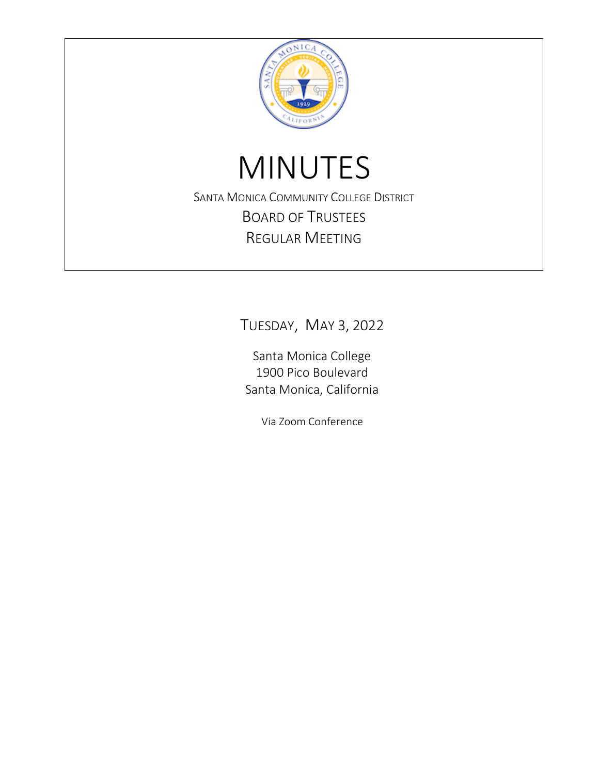

# MINUTES

SANTA MONICA COMMUNITY COLLEGE DISTRICT BOARD OF TRUSTEES REGULAR MEETING

TUESDAY, MAY 3, 2022

Santa Monica College 1900 Pico Boulevard Santa Monica, California

Via Zoom Conference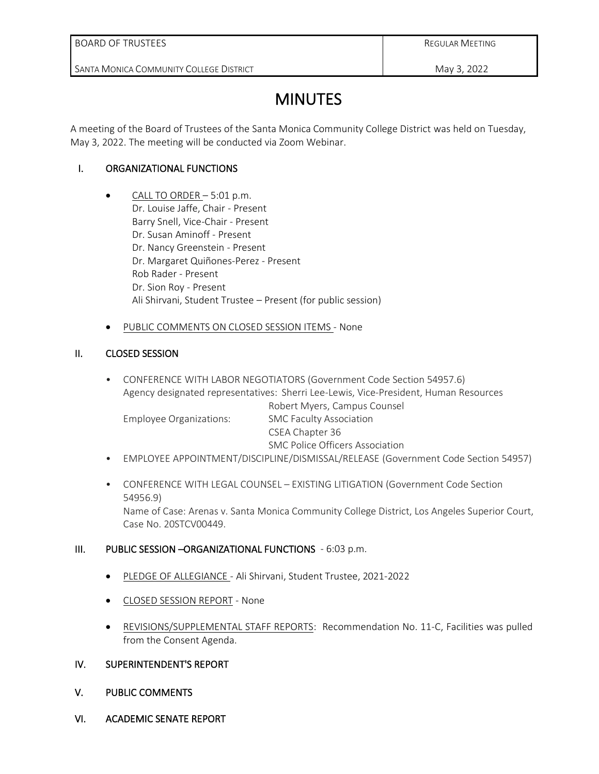SANTA MONICA COMMUNITY COLLEGE DISTRICT

REGULAR MEETING

May 3, 2022

# **MINUTES**

A meeting of the Board of Trustees of the Santa Monica Community College District was held on Tuesday, May 3, 2022. The meeting will be conducted via Zoom Webinar.

# I. ORGANIZATIONAL FUNCTIONS

- $\bullet$  CALL TO ORDER  $-5:01$  p.m. Dr. Louise Jaffe, Chair - Present Barry Snell, Vice-Chair - Present Dr. Susan Aminoff - Present Dr. Nancy Greenstein - Present Dr. Margaret Quiñones-Perez - Present Rob Rader - Present Dr. Sion Roy - Present Ali Shirvani, Student Trustee – Present (for public session)
- PUBLIC COMMENTS ON CLOSED SESSION ITEMS None

# II. CLOSED SESSION

- CONFERENCE WITH LABOR NEGOTIATORS (Government Code Section 54957.6) Agency designated representatives: Sherri Lee-Lewis, Vice-President, Human Resources Robert Myers, Campus Counsel Employee Organizations: SMC Faculty Association CSEA Chapter 36 SMC Police Officers Association
- EMPLOYEE APPOINTMENT/DISCIPLINE/DISMISSAL/RELEASE (Government Code Section 54957)
- CONFERENCE WITH LEGAL COUNSEL EXISTING LITIGATION (Government Code Section 54956.9) Name of Case: Arenas v. Santa Monica Community College District, Los Angeles Superior Court, Case No. 20STCV00449.

#### III. PUBLIC SESSION –ORGANIZATIONAL FUNCTIONS - 6:03 p.m.

- PLEDGE OF ALLEGIANCE Ali Shirvani, Student Trustee, 2021-2022
- CLOSED SESSION REPORT None
- REVISIONS/SUPPLEMENTAL STAFF REPORTS: Recommendation No. 11-C, Facilities was pulled from the Consent Agenda.

# IV. SUPERINTENDENT'S REPORT

- V. PUBLIC COMMENTS
- VI. ACADEMIC SENATE REPORT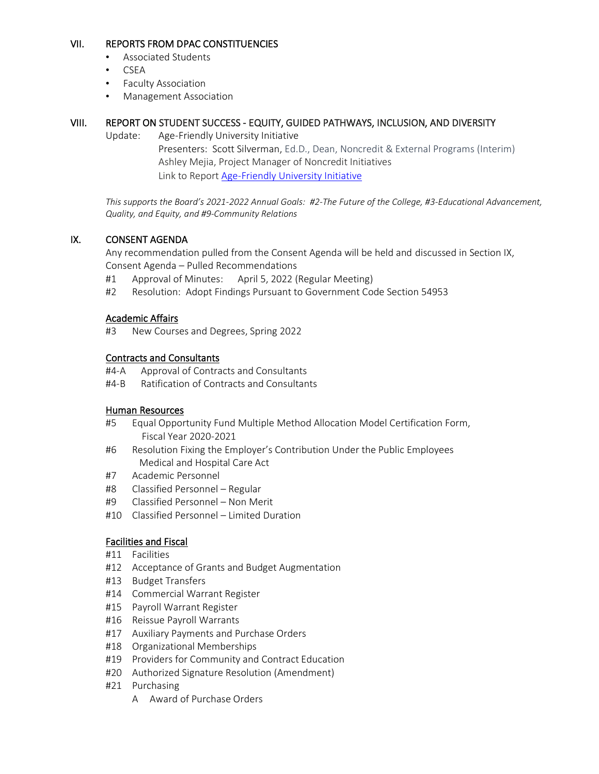# VII. REPORTS FROM DPAC CONSTITUENCIES

- Associated Students
- CSEA
- Faculty Association
- Management Association

# VIII. REPORT ON STUDENT SUCCESS - EQUITY, GUIDED PATHWAYS, INCLUSION, AND DIVERSITY

Update: Age-Friendly University Initiative

Presenters: Scott Silverman, Ed.D., Dean, Noncredit & External Programs (Interim) Ashley Mejia, Project Manager of Noncredit Initiatives Link to Report [Age-Friendly](https://nam10.safelinks.protection.outlook.com/?url=https%3A%2F%2Fwww.smc.edu%2Fadministration%2Fgovernance%2Fboard-of-trustees%2Fdocuments%2F5-3-2022-BT-Meeting%2FAFU.pdf&data=05%7C01%7CROSE_LISA%40smc.edu%7C143f7b6940004fe93b6808da2d761699%7Cbe95da8a67ab4574a292eeb9e5694a69%7C0%7C0%7C637872282490968464%7CUnknown%7CTWFpbGZsb3d8eyJWIjoiMC4wLjAwMDAiLCJQIjoiV2luMzIiLCJBTiI6Ik1haWwiLCJXVCI6Mn0%3D%7C3000%7C%7C%7C&sdata=yRJS%2Fzhp4g%2BkFijowwsbvHsv9lU3OIH7N1nH3ZlomHc%3D&reserved=0) University Initiative

*This supports the Board's 2021-2022 Annual Goals: #2-The Future of the College, #3-Educational Advancement, Quality, and Equity, and #9-Community Relations*

# IX. CONSENT AGENDA

Any recommendation pulled from the Consent Agenda will be held and discussed in Section IX, Consent Agenda – Pulled Recommendations

- #1 Approval of Minutes: April 5, 2022 (Regular Meeting)
- #2 Resolution: Adopt Findings Pursuant to Government Code Section 54953

#### Academic Affairs

#3 New Courses and Degrees, Spring 2022

### Contracts and Consultants

- #4-A Approval of Contracts and Consultants
- #4-B Ratification of Contracts and Consultants

#### Human Resources

- #5 Equal Opportunity Fund Multiple Method Allocation Model Certification Form, Fiscal Year 2020-2021
- #6 Resolution Fixing the Employer's Contribution Under the Public Employees Medical and Hospital Care Act
- #7 Academic Personnel
- #8 Classified Personnel Regular
- #9 Classified Personnel Non Merit
- #10 Classified Personnel Limited Duration

# Facilities and Fiscal

- #11 Facilities
- #12 Acceptance of Grants and Budget Augmentation
- #13 Budget Transfers
- #14 Commercial Warrant Register
- #15 Payroll Warrant Register
- #16 Reissue Payroll Warrants
- #17 Auxiliary Payments and Purchase Orders
- #18 Organizational Memberships
- #19 Providers for Community and Contract Education
- #20 Authorized Signature Resolution (Amendment)
- #21 Purchasing
	- A Award of Purchase Orders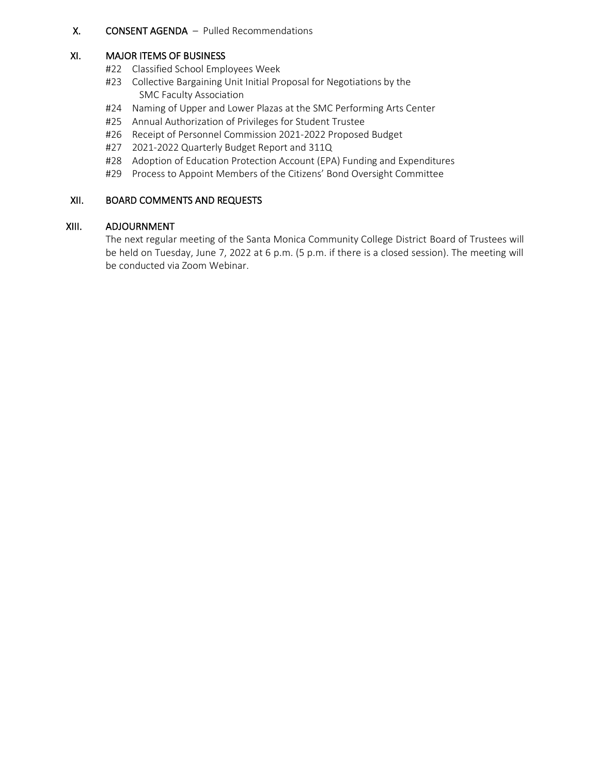## X. CONSENT AGENDA – Pulled Recommendations

#### XI. MAJOR ITEMS OF BUSINESS

- #22 Classified School Employees Week
- #23 Collective Bargaining Unit Initial Proposal for Negotiations by the SMC Faculty Association
- #24 Naming of Upper and Lower Plazas at the SMC Performing Arts Center
- #25 Annual Authorization of Privileges for Student Trustee
- #26 Receipt of Personnel Commission 2021-2022 Proposed Budget
- #27 2021-2022 Quarterly Budget Report and 311Q
- #28 Adoption of Education Protection Account (EPA) Funding and Expenditures
- #29 Process to Appoint Members of the Citizens' Bond Oversight Committee

### XII. BOARD COMMENTS AND REQUESTS

#### XIII. ADJOURNMENT

The next regular meeting of the Santa Monica Community College District Board of Trustees will be held on Tuesday, June 7, 2022 at 6 p.m. (5 p.m. if there is a closed session). The meeting will be conducted via Zoom Webinar.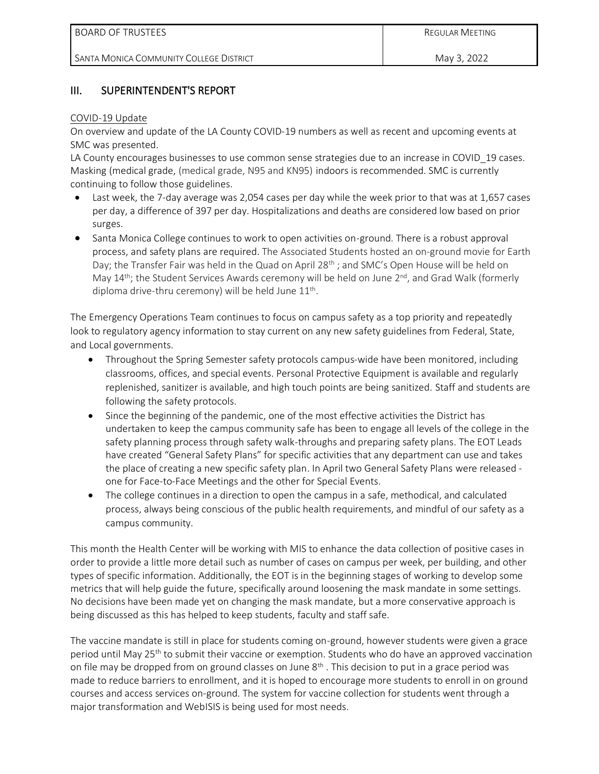# III. SUPERINTENDENT'S REPORT

#### COVID-19 Update

On overview and update of the LA County COVID-19 numbers as well as recent and upcoming events at SMC was presented.

LA County encourages businesses to use common sense strategies due to an increase in COVID\_19 cases. Masking (medical grade, (medical grade, N95 and KN95) indoors is recommended. SMC is currently continuing to follow those guidelines.

- Last week, the 7-day average was 2,054 cases per day while the week prior to that was at 1,657 cases per day, a difference of 397 per day. Hospitalizations and deaths are considered low based on prior surges.
- Santa Monica College continues to work to open activities on-ground. There is a robust approval process, and safety plans are required. The Associated Students hosted an on-ground movie for Earth Day; the Transfer Fair was held in the Quad on April 28<sup>th</sup>; and SMC's Open House will be held on May  $14<sup>th</sup>$ ; the Student Services Awards ceremony will be held on June  $2<sup>nd</sup>$ , and Grad Walk (formerly diploma drive-thru ceremony) will be held June 11<sup>th</sup>.

The Emergency Operations Team continues to focus on campus safety as a top priority and repeatedly look to regulatory agency information to stay current on any new safety guidelines from Federal, State, and Local governments.

- Throughout the Spring Semester safety protocols campus-wide have been monitored, including classrooms, offices, and special events. Personal Protective Equipment is available and regularly replenished, sanitizer is available, and high touch points are being sanitized. Staff and students are following the safety protocols.
- Since the beginning of the pandemic, one of the most effective activities the District has undertaken to keep the campus community safe has been to engage all levels of the college in the safety planning process through safety walk-throughs and preparing safety plans. The EOT Leads have created "General Safety Plans" for specific activities that any department can use and takes the place of creating a new specific safety plan. In April two General Safety Plans were released one for Face-to-Face Meetings and the other for Special Events.
- The college continues in a direction to open the campus in a safe, methodical, and calculated process, always being conscious of the public health requirements, and mindful of our safety as a campus community.

This month the Health Center will be working with MIS to enhance the data collection of positive cases in order to provide a little more detail such as number of cases on campus per week, per building, and other types of specific information. Additionally, the EOT is in the beginning stages of working to develop some metrics that will help guide the future, specifically around loosening the mask mandate in some settings. No decisions have been made yet on changing the mask mandate, but a more conservative approach is being discussed as this has helped to keep students, faculty and staff safe.

The vaccine mandate is still in place for students coming on-ground, however students were given a grace period until May 25<sup>th</sup> to submit their vaccine or exemption. Students who do have an approved vaccination on file may be dropped from on ground classes on June  $8<sup>th</sup>$ . This decision to put in a grace period was made to reduce barriers to enrollment, and it is hoped to encourage more students to enroll in on ground courses and access services on-ground. The system for vaccine collection for students went through a major transformation and WebISIS is being used for most needs.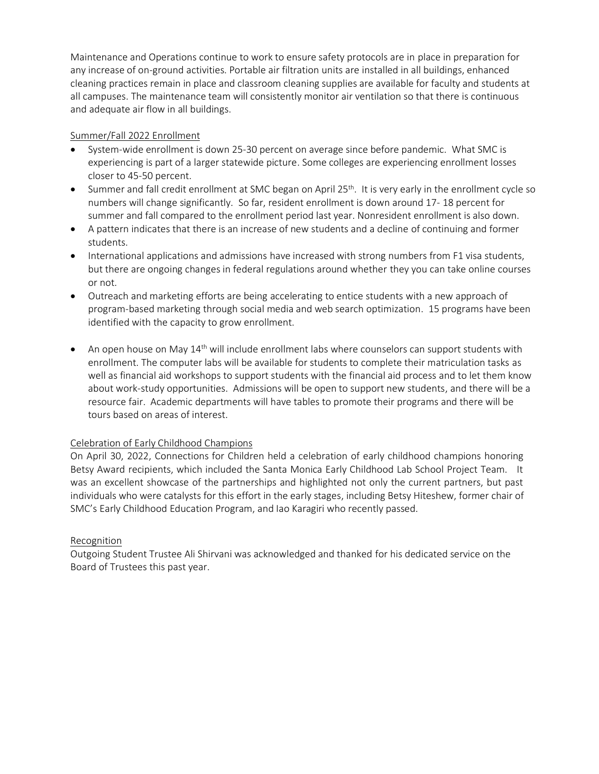Maintenance and Operations continue to work to ensure safety protocols are in place in preparation for any increase of on-ground activities. Portable air filtration units are installed in all buildings, enhanced cleaning practices remain in place and classroom cleaning supplies are available for faculty and students at all campuses. The maintenance team will consistently monitor air ventilation so that there is continuous and adequate air flow in all buildings.

### Summer/Fall 2022 Enrollment

- System-wide enrollment is down 25-30 percent on average since before pandemic. What SMC is experiencing is part of a larger statewide picture. Some colleges are experiencing enrollment losses closer to 45-50 percent.
- Summer and fall credit enrollment at SMC began on April 25<sup>th</sup>. It is very early in the enrollment cycle so numbers will change significantly. So far, resident enrollment is down around 17- 18 percent for summer and fall compared to the enrollment period last year. Nonresident enrollment is also down.
- A pattern indicates that there is an increase of new students and a decline of continuing and former students.
- International applications and admissions have increased with strong numbers from F1 visa students, but there are ongoing changes in federal regulations around whether they you can take online courses or not.
- Outreach and marketing efforts are being accelerating to entice students with a new approach of program-based marketing through social media and web search optimization. 15 programs have been identified with the capacity to grow enrollment.
- An open house on May 14<sup>th</sup> will include enrollment labs where counselors can support students with enrollment. The computer labs will be available for students to complete their matriculation tasks as well as financial aid workshops to support students with the financial aid process and to let them know about work-study opportunities. Admissions will be open to support new students, and there will be a resource fair. Academic departments will have tables to promote their programs and there will be tours based on areas of interest.

# Celebration of Early Childhood Champions

On April 30, 2022, Connections for Children held a celebration of early childhood champions honoring Betsy Award recipients, which included the Santa Monica Early Childhood Lab School Project Team. It was an excellent showcase of the partnerships and highlighted not only the current partners, but past individuals who were catalysts for this effort in the early stages, including Betsy Hiteshew, former chair of SMC's Early Childhood Education Program, and Iao Karagiri who recently passed.

#### Recognition

Outgoing Student Trustee Ali Shirvani was acknowledged and thanked for his dedicated service on the Board of Trustees this past year.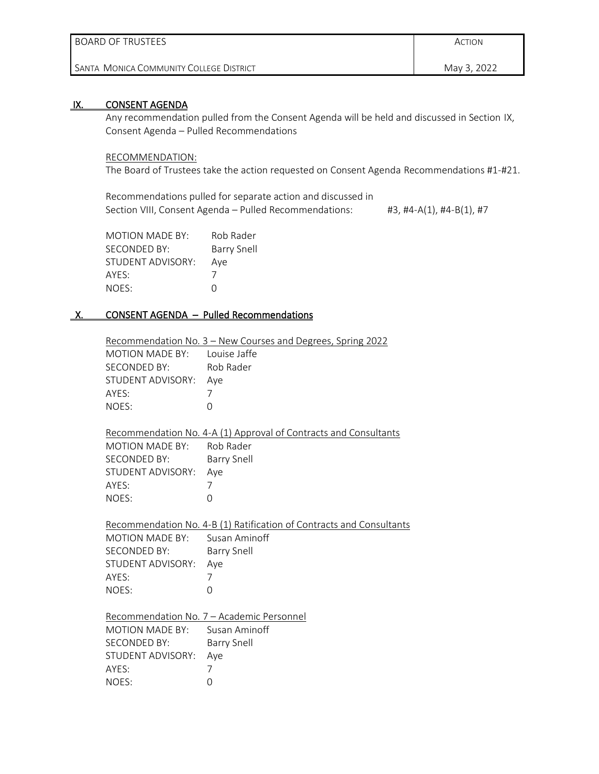| l BOARD OF TRUSTEES                        | ACTION      |
|--------------------------------------------|-------------|
| I Santa-Monica Community College District- | May 3, 2022 |

#### IX. CONSENT AGENDA

Any recommendation pulled from the Consent Agenda will be held and discussed in Section IX, Consent Agenda – Pulled Recommendations

#### RECOMMENDATION:

The Board of Trustees take the action requested on Consent Agenda Recommendations #1-#21.

Recommendations pulled for separate action and discussed in Section VIII, Consent Agenda - Pulled Recommendations: #3, #4-A(1), #4-B(1), #7

| <b>MOTION MADE BY:</b> | Rob Rader   |
|------------------------|-------------|
| SECONDED BY:           | Barry Snell |
| STUDENT ADVISORY:      | Aye         |
| AYES:                  | $\prime$    |
| NOES:                  | $\cap$      |

# X. CONSENT AGENDA - Pulled Recommendations

|                              | Recommendation No. 3 - New Courses and Degrees, Spring 2022          |
|------------------------------|----------------------------------------------------------------------|
| MOTION MADE BY: Louise Jaffe |                                                                      |
| SECONDED BY:                 | Rob Rader                                                            |
| STUDENT ADVISORY: Aye        |                                                                      |
| AYES:                        | 7                                                                    |
| NOES:                        | $\Omega$                                                             |
|                              |                                                                      |
|                              | Recommendation No. 4-A (1) Approval of Contracts and Consultants     |
| MOTION MADE BY: Rob Rader    |                                                                      |
| <b>SECONDED BY:</b>          | <b>Barry Snell</b>                                                   |
| STUDENT ADVISORY:            | Aye                                                                  |
| AYES:                        | 7                                                                    |
| NOES:                        | $\Omega$                                                             |
|                              |                                                                      |
|                              |                                                                      |
|                              | Recommendation No. 4-B (1) Ratification of Contracts and Consultants |
| MOTION MADE BY:              | Susan Aminoff                                                        |
| <b>SECONDED BY:</b>          | <b>Barry Snell</b>                                                   |
| STUDENT ADVISORY:            | Aye                                                                  |
| AYES:                        | 7                                                                    |
| NOES:                        | $\Omega$                                                             |
|                              |                                                                      |
|                              | Recommendation No. 7 - Academic Personnel                            |
| MOTION MADE BY:              | Susan Aminoff                                                        |
| SECONDED BY:                 | <b>Barry Snell</b>                                                   |
| STUDENT ADVISORY:            | Aye                                                                  |
| AYES:                        | 7                                                                    |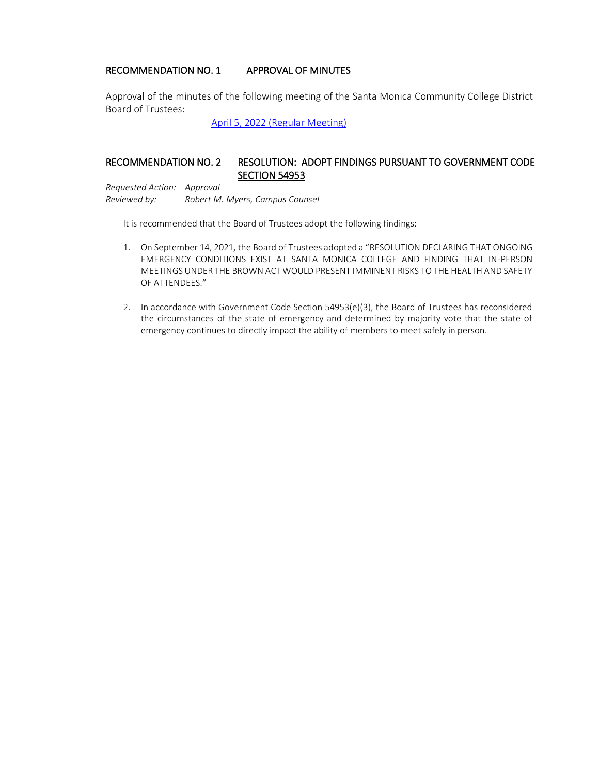#### RECOMMENDATION NO. 1 APPROVAL OF MINUTES

Approval of the minutes of the following meeting of the Santa Monica Community College District Board of Trustees[:](https://www.smc.edu/administration/governance/board-of-trustees/documents/4-5-2022-Minutes.pdf)

[April 5, 2022 \(Regular Meeting\)](https://www.smc.edu/administration/governance/board-of-trustees/documents/4-5-2022-Minutes.pdf)

# RECOMMENDATION NO. 2 RESOLUTION: ADOPT FINDINGS PURSUANT TO GOVERNMENT CODE **SECTION 54953**

*Requested Action: Approval Reviewed by: Robert M. Myers, Campus Counsel*

It is recommended that the Board of Trustees adopt the following findings:

- 1. On September 14, 2021, the Board of Trustees adopted a "RESOLUTION DECLARING THAT ONGOING EMERGENCY CONDITIONS EXIST AT SANTA MONICA COLLEGE AND FINDING THAT IN-PERSON MEETINGS UNDER THE BROWN ACT WOULD PRESENT IMMINENT RISKS TO THE HEALTH AND SAFETY OF ATTENDEES."
- 2. In accordance with Government Code Section 54953(e)(3), the Board of Trustees has reconsidered the circumstances of the state of emergency and determined by majority vote that the state of emergency continues to directly impact the ability of members to meet safely in person.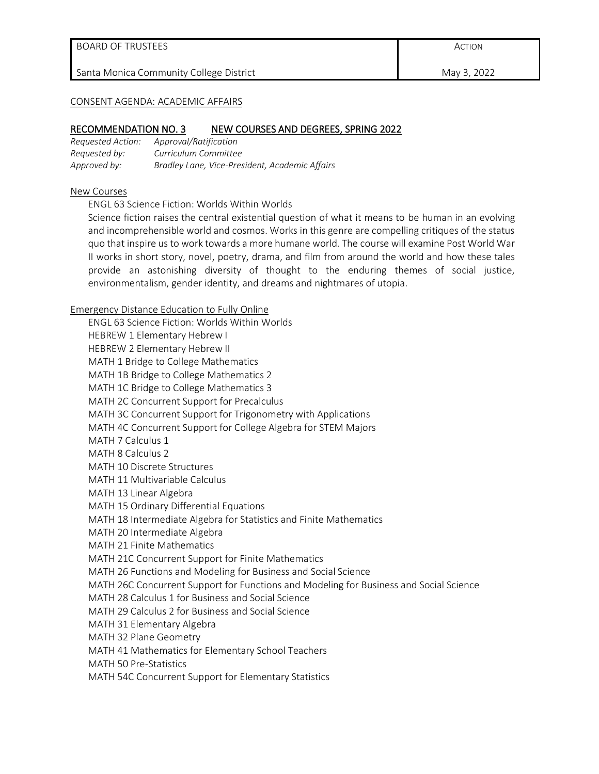May 3, 2022

#### CONSENT AGENDA: ACADEMIC AFFAIRS

#### RECOMMENDATION NO. 3 NEW COURSES AND DEGREES, SPRING 2022

| Requested Action: | Approval/Ratification                          |
|-------------------|------------------------------------------------|
| Requested by:     | Curriculum Committee                           |
| Approved by:      | Bradley Lane, Vice-President, Academic Affairs |

#### New Courses

ENGL 63 Science Fiction: Worlds Within Worlds

Science fiction raises the central existential question of what it means to be human in an evolving and incomprehensible world and cosmos. Works in this genre are compelling critiques of the status quo that inspire us to work towards a more humane world. The course will examine Post World War II works in short story, novel, poetry, drama, and film from around the world and how these tales provide an astonishing diversity of thought to the enduring themes of social justice, environmentalism, gender identity, and dreams and nightmares of utopia.

Emergency Distance Education to Fully Online

ENGL 63 Science Fiction: Worlds Within Worlds HEBREW 1 Elementary Hebrew I HEBREW 2 Elementary Hebrew II MATH 1 Bridge to College Mathematics MATH 1B Bridge to College Mathematics 2 MATH 1C Bridge to College Mathematics 3 MATH 2C Concurrent Support for Precalculus MATH 3C Concurrent Support for Trigonometry with Applications MATH 4C Concurrent Support for College Algebra for STEM Majors MATH 7 Calculus 1 MATH 8 Calculus 2 MATH 10 Discrete Structures MATH 11 Multivariable Calculus MATH 13 Linear Algebra MATH 15 Ordinary Differential Equations MATH 18 Intermediate Algebra for Statistics and Finite Mathematics MATH 20 Intermediate Algebra MATH 21 Finite Mathematics MATH 21C Concurrent Support for Finite Mathematics MATH 26 Functions and Modeling for Business and Social Science MATH 26C Concurrent Support for Functions and Modeling for Business and Social Science MATH 28 Calculus 1 for Business and Social Science MATH 29 Calculus 2 for Business and Social Science MATH 31 Elementary Algebra MATH 32 Plane Geometry MATH 41 Mathematics for Elementary School Teachers MATH 50 Pre-Statistics MATH 54C Concurrent Support for Elementary Statistics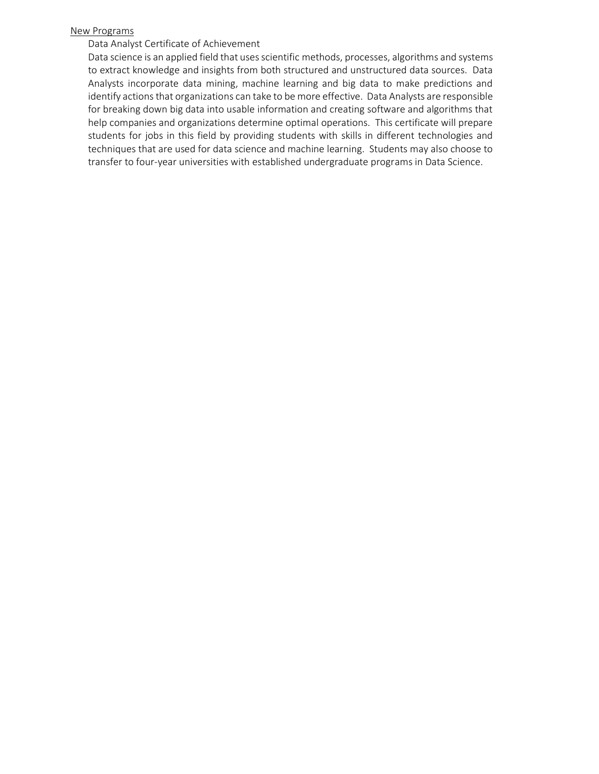#### New Programs

#### Data Analyst Certificate of Achievement

Data science is an applied field that uses scientific methods, processes, algorithms and systems to extract knowledge and insights from both structured and unstructured data sources. Data Analysts incorporate data mining, machine learning and big data to make predictions and identify actions that organizations can take to be more effective. Data Analysts are responsible for breaking down big data into usable information and creating software and algorithms that help companies and organizations determine optimal operations. This certificate will prepare students for jobs in this field by providing students with skills in different technologies and techniques that are used for data science and machine learning. Students may also choose to transfer to four-year universities with established undergraduate programs in Data Science.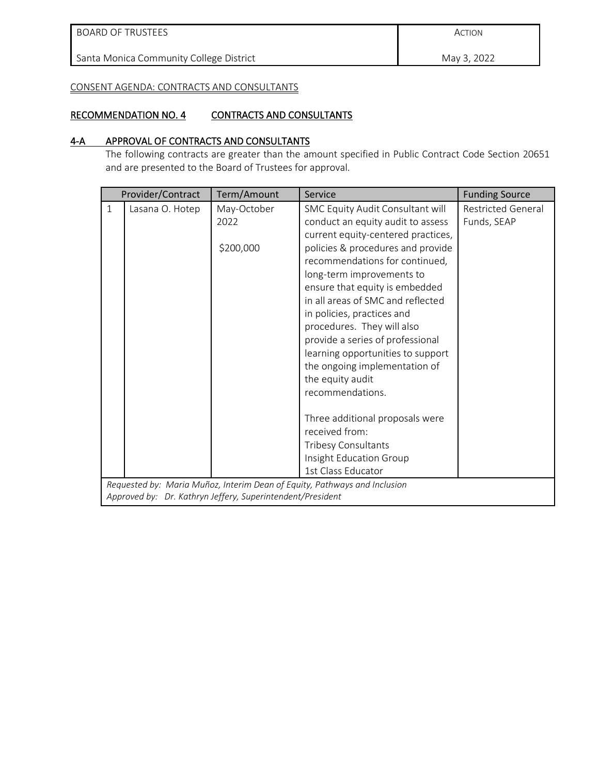ACTION

May 3, 2022

CONSENT AGENDA: CONTRACTS AND CONSULTANTS

#### RECOMMENDATION NO. 4 CONTRACTS AND CONSULTANTS

#### 4-A APPROVAL OF CONTRACTS AND CONSULTANTS

The following contracts are greater than the amount specified in Public Contract Code Section 20651 and are presented to the Board of Trustees for approval.

|              | Provider/Contract                                          | Term/Amount                      | Service                                                                                                                                                                                                                                                                                                                                                                                                                                                                                                                                                                                                                                                                                                        | <b>Funding Source</b>                    |
|--------------|------------------------------------------------------------|----------------------------------|----------------------------------------------------------------------------------------------------------------------------------------------------------------------------------------------------------------------------------------------------------------------------------------------------------------------------------------------------------------------------------------------------------------------------------------------------------------------------------------------------------------------------------------------------------------------------------------------------------------------------------------------------------------------------------------------------------------|------------------------------------------|
| $\mathbf{1}$ | Lasana O. Hotep                                            | May-October<br>2022<br>\$200,000 | SMC Equity Audit Consultant will<br>conduct an equity audit to assess<br>current equity-centered practices,<br>policies & procedures and provide<br>recommendations for continued,<br>long-term improvements to<br>ensure that equity is embedded<br>in all areas of SMC and reflected<br>in policies, practices and<br>procedures. They will also<br>provide a series of professional<br>learning opportunities to support<br>the ongoing implementation of<br>the equity audit<br>recommendations.<br>Three additional proposals were<br>received from:<br>Tribesy Consultants<br>Insight Education Group<br>1st Class Educator<br>Requested by: Maria Muñoz, Interim Dean of Equity, Pathways and Inclusion | <b>Restricted General</b><br>Funds, SEAP |
|              | Approved by: Dr. Kathryn Jeffery, Superintendent/President |                                  |                                                                                                                                                                                                                                                                                                                                                                                                                                                                                                                                                                                                                                                                                                                |                                          |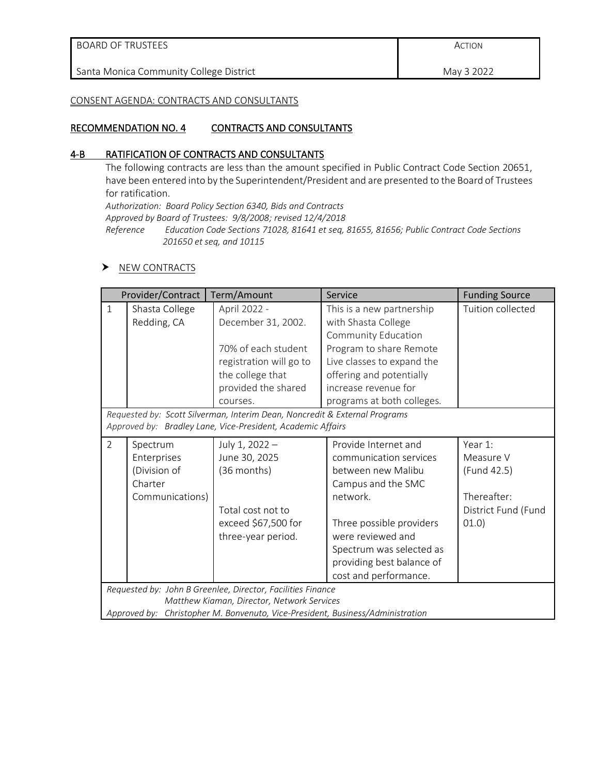| BOARD OF TRUSTEES                       | ACTION     |
|-----------------------------------------|------------|
| Santa Monica Community College District | May 3 2022 |
|                                         |            |

#### CONSENT AGENDA: CONTRACTS AND CONSULTANTS

# RECOMMENDATION NO. 4 CONTRACTS AND CONSULTANTS

# 4-B RATIFICATION OF CONTRACTS AND CONSULTANTS

The following contracts are less than the amount specified in Public Contract Code Section 20651, have been entered into by the Superintendent/President and are presented to the Board of Trustees for ratification.

*Authorization: Board Policy Section 6340, Bids and Contracts* 

*Approved by Board of Trustees: 9/8/2008; revised 12/4/2018*

*Reference Education Code Sections 71028, 81641 et seq, 81655, 81656; Public Contract Code Sections 201650 et seq, and 10115*

#### NEW CONTRACTS

|                | Provider/Contract                                                     | Term/Amount                                                                                                                               | Service                                                                                                                                                                                                                                   | <b>Funding Source</b>                                                             |
|----------------|-----------------------------------------------------------------------|-------------------------------------------------------------------------------------------------------------------------------------------|-------------------------------------------------------------------------------------------------------------------------------------------------------------------------------------------------------------------------------------------|-----------------------------------------------------------------------------------|
| $\mathbf{1}$   | Shasta College<br>Redding, CA                                         | April 2022 -<br>December 31, 2002.<br>70% of each student<br>registration will go to<br>the college that<br>provided the shared           | This is a new partnership<br>with Shasta College<br>Community Education<br>Program to share Remote<br>Live classes to expand the<br>offering and potentially<br>increase revenue for                                                      | Tuition collected                                                                 |
|                |                                                                       | courses.                                                                                                                                  | programs at both colleges.                                                                                                                                                                                                                |                                                                                   |
|                |                                                                       | Requested by: Scott Silverman, Interim Dean, Noncredit & External Programs<br>Approved by: Bradley Lane, Vice-President, Academic Affairs |                                                                                                                                                                                                                                           |                                                                                   |
| $\overline{2}$ | Spectrum<br>Enterprises<br>(Division of<br>Charter<br>Communications) | July 1, 2022 -<br>June 30, 2025<br>(36 months)<br>Total cost not to<br>exceed \$67,500 for<br>three-year period.                          | Provide Internet and<br>communication services<br>between new Malibu<br>Campus and the SMC<br>network.<br>Three possible providers<br>were reviewed and<br>Spectrum was selected as<br>providing best balance of<br>cost and performance. | Year 1:<br>Measure V<br>(Fund 42.5)<br>Thereafter:<br>District Fund (Fund<br>01.0 |
|                |                                                                       | Requested by: John B Greenlee, Director, Facilities Finance<br>Matthew Kiaman, Director, Network Services                                 |                                                                                                                                                                                                                                           |                                                                                   |
|                |                                                                       | Approved by: Christopher M. Bonvenuto, Vice-President, Business/Administration                                                            |                                                                                                                                                                                                                                           |                                                                                   |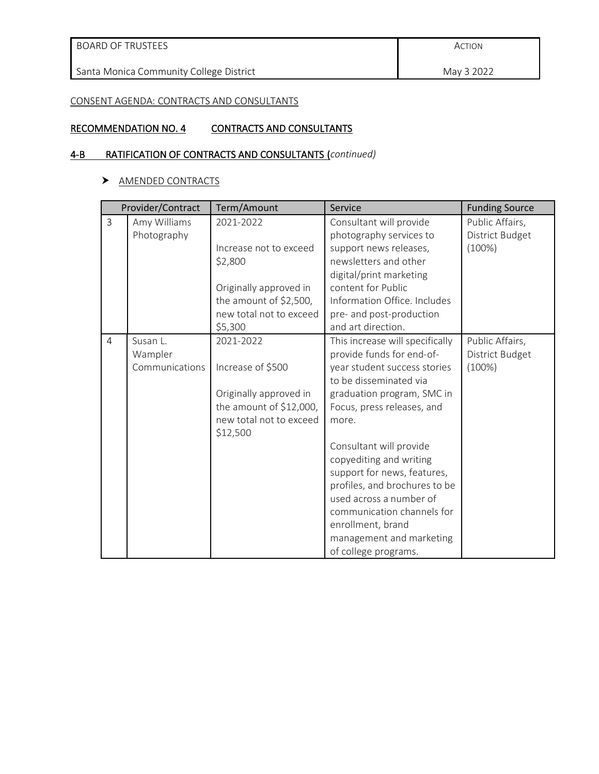| <b>BOARD OF TRUSTEES</b> |  |
|--------------------------|--|
|--------------------------|--|

# CONSENT AGENDA: CONTRACTS AND CONSULTANTS

# RECOMMENDATION NO. 4 CONTRACTS AND CONSULTANTS

# 4-B RATIFICATION OF CONTRACTS AND CONSULTANTS (*continued)*

# > AMENDED CONTRACTS

|                | Provider/Contract           | Term/Amount                         | Service                                            | <b>Funding Source</b>              |
|----------------|-----------------------------|-------------------------------------|----------------------------------------------------|------------------------------------|
| $\overline{3}$ | Amy Williams<br>Photography | 2021-2022                           | Consultant will provide<br>photography services to | Public Affairs,<br>District Budget |
|                |                             | Increase not to exceed              | support news releases,                             | $(100\%)$                          |
|                |                             | \$2,800                             | newsletters and other                              |                                    |
|                |                             |                                     | digital/print marketing                            |                                    |
|                |                             | Originally approved in              | content for Public                                 |                                    |
|                |                             | the amount of \$2,500,              | Information Office. Includes                       |                                    |
|                |                             | new total not to exceed             | pre- and post-production                           |                                    |
|                |                             | \$5,300                             | and art direction.                                 |                                    |
| $\overline{4}$ | Susan L.                    | 2021-2022                           | This increase will specifically                    | Public Affairs,                    |
|                | Wampler                     |                                     | provide funds for end-of-                          | District Budget                    |
|                | Communications              | Increase of \$500                   | year student success stories                       | $(100\%)$                          |
|                |                             |                                     | to be disseminated via                             |                                    |
|                |                             | Originally approved in              | graduation program, SMC in                         |                                    |
|                |                             | the amount of \$12,000,             | Focus, press releases, and                         |                                    |
|                |                             | new total not to exceed<br>\$12,500 | more.                                              |                                    |
|                |                             |                                     | Consultant will provide                            |                                    |
|                |                             |                                     | copyediting and writing                            |                                    |
|                |                             |                                     | support for news, features,                        |                                    |
|                |                             |                                     | profiles, and brochures to be                      |                                    |
|                |                             |                                     | used across a number of                            |                                    |
|                |                             |                                     | communication channels for                         |                                    |
|                |                             |                                     | enrollment, brand                                  |                                    |
|                |                             |                                     | management and marketing                           |                                    |
|                |                             |                                     | of college programs.                               |                                    |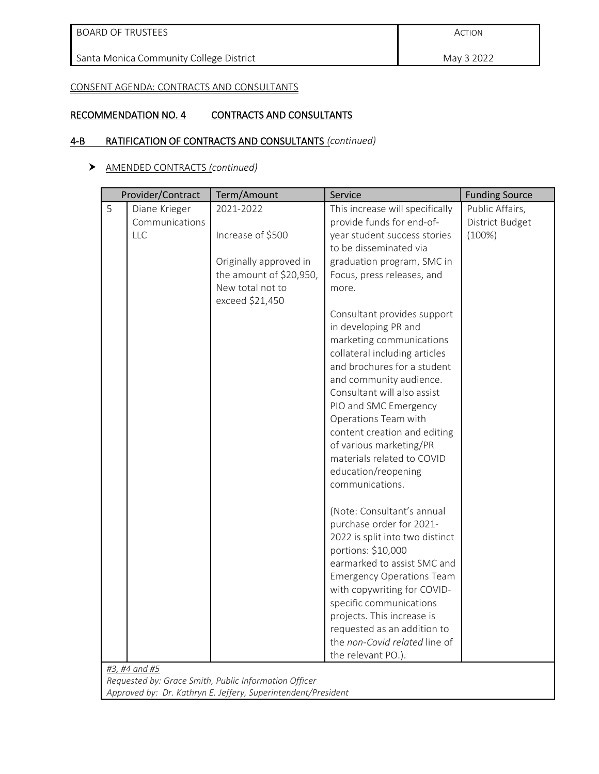May 3 2022

CONSENT AGENDA: CONTRACTS AND CONSULTANTS

# RECOMMENDATION NO. 4 CONTRACTS AND CONSULTANTS

# 4-B RATIFICATION OF CONTRACTS AND CONSULTANTS *(continued)*

#### AMENDED CONTRACTS *(continued)*

|   | Provider/Contract | Term/Amount                                           | Service                                                      | <b>Funding Source</b> |
|---|-------------------|-------------------------------------------------------|--------------------------------------------------------------|-----------------------|
| 5 | Diane Krieger     | 2021-2022                                             | This increase will specifically                              | Public Affairs,       |
|   | Communications    |                                                       | provide funds for end-of-                                    | District Budget       |
|   | LLC               | Increase of \$500                                     | year student success stories                                 | $(100\%)$             |
|   |                   |                                                       | to be disseminated via                                       |                       |
|   |                   | Originally approved in                                | graduation program, SMC in                                   |                       |
|   |                   | the amount of \$20,950,                               | Focus, press releases, and                                   |                       |
|   |                   | New total not to                                      | more.                                                        |                       |
|   |                   | exceed \$21,450                                       |                                                              |                       |
|   |                   |                                                       | Consultant provides support                                  |                       |
|   |                   |                                                       | in developing PR and                                         |                       |
|   |                   |                                                       | marketing communications                                     |                       |
|   |                   |                                                       | collateral including articles<br>and brochures for a student |                       |
|   |                   |                                                       | and community audience.                                      |                       |
|   |                   |                                                       | Consultant will also assist                                  |                       |
|   |                   |                                                       | PIO and SMC Emergency                                        |                       |
|   |                   |                                                       | Operations Team with                                         |                       |
|   |                   |                                                       | content creation and editing                                 |                       |
|   |                   |                                                       | of various marketing/PR                                      |                       |
|   |                   |                                                       | materials related to COVID                                   |                       |
|   |                   |                                                       | education/reopening                                          |                       |
|   |                   |                                                       | communications.                                              |                       |
|   |                   |                                                       | (Note: Consultant's annual                                   |                       |
|   |                   |                                                       | purchase order for 2021-                                     |                       |
|   |                   |                                                       | 2022 is split into two distinct                              |                       |
|   |                   |                                                       | portions: \$10,000                                           |                       |
|   |                   |                                                       | earmarked to assist SMC and                                  |                       |
|   |                   |                                                       | <b>Emergency Operations Team</b>                             |                       |
|   |                   |                                                       | with copywriting for COVID-                                  |                       |
|   |                   |                                                       | specific communications                                      |                       |
|   |                   |                                                       | projects. This increase is                                   |                       |
|   |                   |                                                       | requested as an addition to                                  |                       |
|   |                   |                                                       | the non-Covid related line of                                |                       |
|   |                   |                                                       | the relevant PO.).                                           |                       |
|   | #3, #4 and #5     | Requested by: Grace Smith, Public Information Officer |                                                              |                       |

*Approved by: Dr. Kathryn E. Jeffery, Superintendent/President*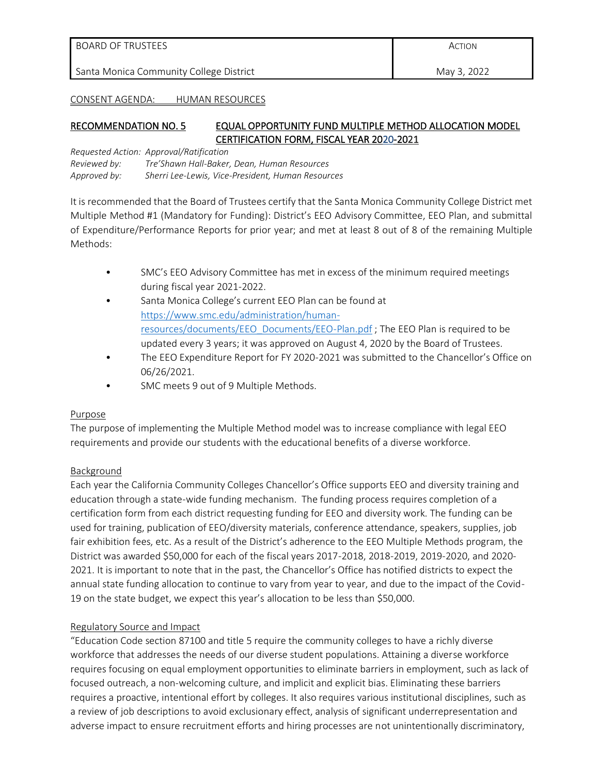| <b>I BOARD OF TRUSTEES</b>              | ACTION      |
|-----------------------------------------|-------------|
| Santa Monica Community College District | May 3, 2022 |

#### CONSENT AGENDA: HUMAN RESOURCES

# RECOMMENDATION NO. 5 EQUAL OPPORTUNITY FUND MULTIPLE METHOD ALLOCATION MODEL CERTIFICATION FORM, FISCAL YEAR 2020-2021

*Requested Action: Approval/Ratification Reviewed by: Tre'Shawn Hall-Baker, Dean, Human Resources Approved by: Sherri Lee-Lewis, Vice-President, Human Resources*

It is recommended that the Board of Trustees certify that the Santa Monica Community College District met Multiple Method #1 (Mandatory for Funding): District's EEO Advisory Committee, EEO Plan, and submittal of Expenditure/Performance Reports for prior year; and met at least 8 out of 8 of the remaining Multiple Methods:

- SMC's EEO Advisory Committee has met in excess of the minimum required meetings during fiscal year 2021-2022.
- Santa Monica College's current EEO Plan can be found at [https://www.smc.edu/administration/human](https://www.smc.edu/administration/human-resources/documents/EEO_Documents/EEO-Plan.pdf)[resources/documents/EEO\\_Documents/EEO-Plan.pdf](https://www.smc.edu/administration/human-resources/documents/EEO_Documents/EEO-Plan.pdf) ; The EEO Plan is required to be updated every 3 years; it was approved on August 4, 2020 by the Board of Trustees.
- The EEO Expenditure Report for FY 2020-2021 was submitted to the Chancellor's Office on 06/26/2021.
- SMC meets 9 out of 9 Multiple Methods.

# Purpose

The purpose of implementing the Multiple Method model was to increase compliance with legal EEO requirements and provide our students with the educational benefits of a diverse workforce.

# Background

Each year the California Community Colleges Chancellor's Office supports EEO and diversity training and education through a state-wide funding mechanism. The funding process requires completion of a certification form from each district requesting funding for EEO and diversity work. The funding can be used for training, publication of EEO/diversity materials, conference attendance, speakers, supplies, job fair exhibition fees, etc. As a result of the District's adherence to the EEO Multiple Methods program, the District was awarded \$50,000 for each of the fiscal years 2017-2018, 2018-2019, 2019-2020, and 2020- 2021. It is important to note that in the past, the Chancellor's Office has notified districts to expect the annual state funding allocation to continue to vary from year to year, and due to the impact of the Covid-19 on the state budget, we expect this year's allocation to be less than \$50,000.

# Regulatory Source and Impact

"Education Code section 87100 and title 5 require the community colleges to have a richly diverse workforce that addresses the needs of our diverse student populations. Attaining a diverse workforce requires focusing on equal employment opportunities to eliminate barriers in employment, such as lack of focused outreach, a non-welcoming culture, and implicit and explicit bias. Eliminating these barriers requires a proactive, intentional effort by colleges. It also requires various institutional disciplines, such as a review of job descriptions to avoid exclusionary effect, analysis of significant underrepresentation and adverse impact to ensure recruitment efforts and hiring processes are not unintentionally discriminatory,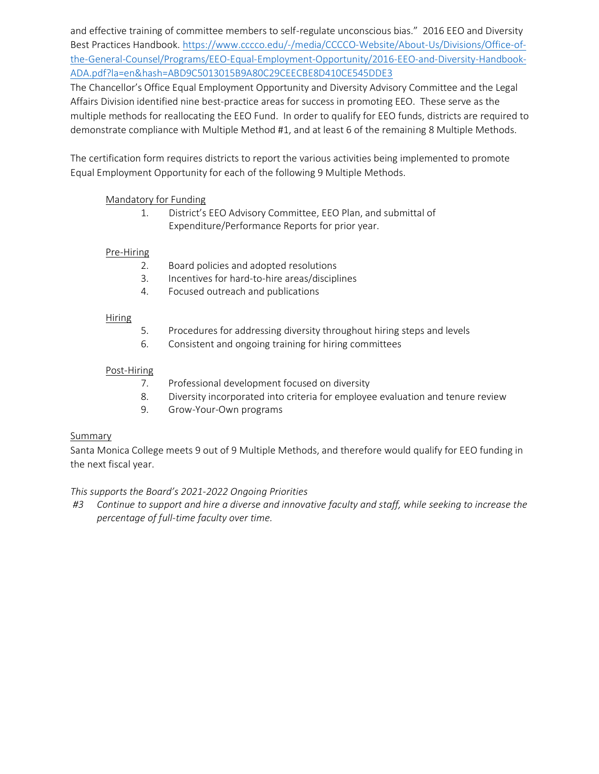and effective training of committee members to self-regulate unconscious bias." 2016 EEO and Diversity Best Practices Handbook[. https://www.cccco.edu/-/media/CCCCO-Website/About-Us/Divisions/Office-of](https://www.cccco.edu/-/media/CCCCO-Website/About-Us/Divisions/Office-of-the-General-Counsel/Programs/EEO-Equal-Employment-Opportunity/2016-EEO-and-Diversity-Handbook-ADA.pdf?la=en&hash=ABD9C5013015B9A80C29CEECBE8D410CE545DDE3)[the-General-Counsel/Programs/EEO-Equal-Employment-Opportunity/2016-EEO-and-Diversity-Handbook-](https://www.cccco.edu/-/media/CCCCO-Website/About-Us/Divisions/Office-of-the-General-Counsel/Programs/EEO-Equal-Employment-Opportunity/2016-EEO-and-Diversity-Handbook-ADA.pdf?la=en&hash=ABD9C5013015B9A80C29CEECBE8D410CE545DDE3)[ADA.pdf?la=en&hash=ABD9C5013015B9A80C29CEECBE8D410CE545DDE3](https://www.cccco.edu/-/media/CCCCO-Website/About-Us/Divisions/Office-of-the-General-Counsel/Programs/EEO-Equal-Employment-Opportunity/2016-EEO-and-Diversity-Handbook-ADA.pdf?la=en&hash=ABD9C5013015B9A80C29CEECBE8D410CE545DDE3)

The Chancellor's Office Equal Employment Opportunity and Diversity Advisory Committee and the Legal Affairs Division identified nine best-practice areas for success in promoting EEO. These serve as the multiple methods for reallocating the EEO Fund. In order to qualify for EEO funds, districts are required to demonstrate compliance with Multiple Method #1, and at least 6 of the remaining 8 Multiple Methods.

The certification form requires districts to report the various activities being implemented to promote Equal Employment Opportunity for each of the following 9 Multiple Methods.

# Mandatory for Funding

1. District's EEO Advisory Committee, EEO Plan, and submittal of Expenditure/Performance Reports for prior year.

# Pre-Hiring

- 2. Board policies and adopted resolutions
- 3. Incentives for hard-to-hire areas/disciplines
- 4. Focused outreach and publications

# Hiring

- 5. Procedures for addressing diversity throughout hiring steps and levels
- 6. Consistent and ongoing training for hiring committees

# Post-Hiring

- 7. Professional development focused on diversity
- 8. Diversity incorporated into criteria for employee evaluation and tenure review
- 9. Grow-Your-Own programs

# **Summary**

Santa Monica College meets 9 out of 9 Multiple Methods, and therefore would qualify for EEO funding in the next fiscal year.

# *This supports the Board's 2021-2022 Ongoing Priorities*

#3 Continue to support and hire a diverse and innovative faculty and staff, while seeking to increase the *percentage of full-time faculty over time.*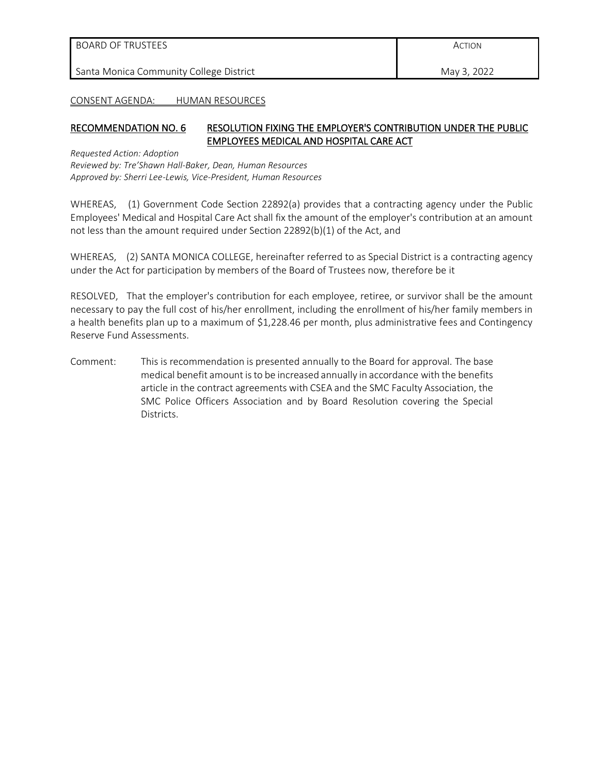| Santa Monica Community College District<br>May 3, 2022 |  |
|--------------------------------------------------------|--|

CONSENT AGENDA: HUMAN RESOURCES

#### RECOMMENDATION NO. 6 RESOLUTION FIXING THE EMPLOYER'S CONTRIBUTION UNDER THE PUBLIC EMPLOYEES MEDICAL AND HOSPITAL CARE ACT

*Requested Action: Adoption Reviewed by: Tre'Shawn Hall-Baker, Dean, Human Resources Approved by: Sherri Lee-Lewis, Vice-President, Human Resources*

WHEREAS, (1) Government Code Section 22892(a) provides that a contracting agency under the Public Employees' Medical and Hospital Care Act shall fix the amount of the employer's contribution at an amount not less than the amount required under Section 22892(b)(1) of the Act, and

WHEREAS, (2) SANTA MONICA COLLEGE, hereinafter referred to as Special District is a contracting agency under the Act for participation by members of the Board of Trustees now, therefore be it

RESOLVED, That the employer's contribution for each employee, retiree, or survivor shall be the amount necessary to pay the full cost of his/her enrollment, including the enrollment of his/her family members in a health benefits plan up to a maximum of \$1,228.46 per month, plus administrative fees and Contingency Reserve Fund Assessments.

Comment: This is recommendation is presented annually to the Board for approval. The base medical benefit amount is to be increased annually in accordance with the benefits article in the contract agreements with CSEA and the SMC Faculty Association, the SMC Police Officers Association and by Board Resolution covering the Special Districts.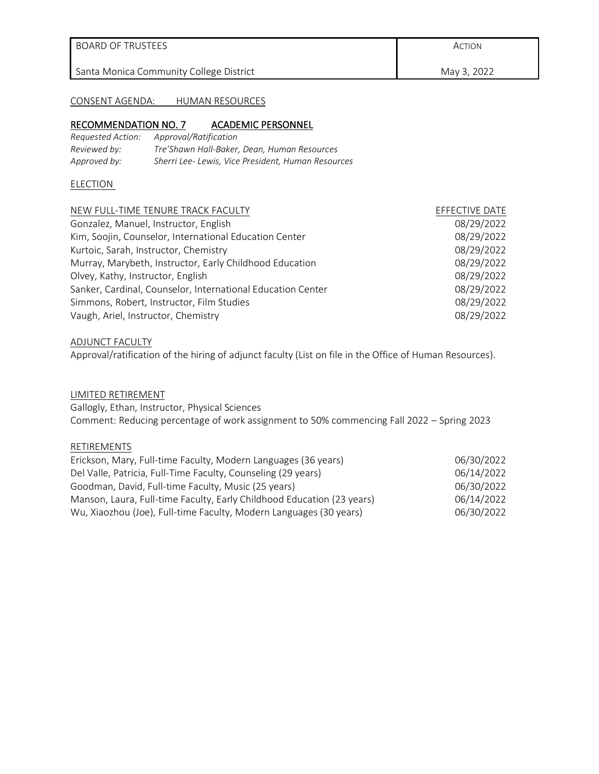May 3, 2022

#### CONSENT AGENDA: HUMAN RESOURCES

#### RECOMMENDATION NO. 7 ACADEMIC PERSONNEL

| Requested Action: | Approval/Ratification                             |
|-------------------|---------------------------------------------------|
| Reviewed by:      | Tre'Shawn Hall-Baker, Dean, Human Resources       |
| Approved by:      | Sherri Lee-Lewis, Vice President, Human Resources |

#### **ELECTION**

| NEW FULL-TIME TENURE TRACK FACULTY                          | EFFECTIVE DATE |
|-------------------------------------------------------------|----------------|
| Gonzalez, Manuel, Instructor, English                       | 08/29/2022     |
| Kim, Soojin, Counselor, International Education Center      | 08/29/2022     |
| Kurtoic, Sarah, Instructor, Chemistry                       | 08/29/2022     |
| Murray, Marybeth, Instructor, Early Childhood Education     | 08/29/2022     |
| Olvey, Kathy, Instructor, English                           | 08/29/2022     |
| Sanker, Cardinal, Counselor, International Education Center | 08/29/2022     |
| Simmons, Robert, Instructor, Film Studies                   | 08/29/2022     |
| Vaugh, Ariel, Instructor, Chemistry                         | 08/29/2022     |

#### ADJUNCT FACULTY

Approval/ratification of the hiring of adjunct faculty (List on file in the Office of Human Resources).

#### LIMITED RETIREMENT

Gallogly, Ethan, Instructor, Physical Sciences Comment: Reducing percentage of work assignment to 50% commencing Fall 2022 – Spring 2023

#### RETIREMENTS

| Erickson, Mary, Full-time Faculty, Modern Languages (36 years)         | 06/30/2022 |
|------------------------------------------------------------------------|------------|
| Del Valle, Patricia, Full-Time Faculty, Counseling (29 years)          | 06/14/2022 |
| Goodman, David, Full-time Faculty, Music (25 years)                    | 06/30/2022 |
| Manson, Laura, Full-time Faculty, Early Childhood Education (23 years) | 06/14/2022 |
| Wu, Xiaozhou (Joe), Full-time Faculty, Modern Languages (30 years)     | 06/30/2022 |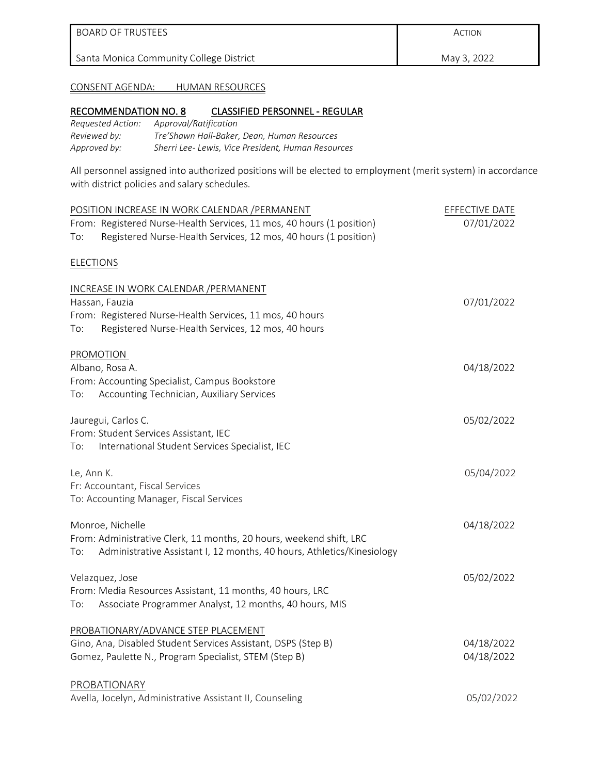ACTION

May 3, 2022

# CONSENT AGENDA: HUMAN RESOURCES

# RECOMMENDATION NO. 8 CLASSIFIED PERSONNEL - REGULAR

| Requested Action: | Approval/Ratification                             |
|-------------------|---------------------------------------------------|
| Reviewed by:      | Tre'Shawn Hall-Baker, Dean, Human Resources       |
| Approved by:      | Sherri Lee-Lewis, Vice President, Human Resources |

All personnel assigned into authorized positions will be elected to employment (merit system) in accordance with district policies and salary schedules.

|                  | POSITION INCREASE IN WORK CALENDAR / PERMANENT                                             | EFFECTIVE DATE |
|------------------|--------------------------------------------------------------------------------------------|----------------|
|                  | From: Registered Nurse-Health Services, 11 mos, 40 hours (1 position)                      | 07/01/2022     |
| To:              | Registered Nurse-Health Services, 12 mos, 40 hours (1 position)                            |                |
| <b>ELECTIONS</b> |                                                                                            |                |
|                  | INCREASE IN WORK CALENDAR / PERMANENT                                                      |                |
|                  | Hassan, Fauzia                                                                             | 07/01/2022     |
|                  | From: Registered Nurse-Health Services, 11 mos, 40 hours                                   |                |
| To:              | Registered Nurse-Health Services, 12 mos, 40 hours                                         |                |
|                  | PROMOTION                                                                                  |                |
|                  | Albano, Rosa A.                                                                            | 04/18/2022     |
| To:              | From: Accounting Specialist, Campus Bookstore<br>Accounting Technician, Auxiliary Services |                |
|                  | Jauregui, Carlos C.                                                                        | 05/02/2022     |
|                  | From: Student Services Assistant, IEC                                                      |                |
| To:              | International Student Services Specialist, IEC                                             |                |
| Le, Ann K.       |                                                                                            | 05/04/2022     |
|                  | Fr: Accountant, Fiscal Services                                                            |                |
|                  | To: Accounting Manager, Fiscal Services                                                    |                |
|                  | Monroe, Nichelle                                                                           | 04/18/2022     |
|                  | From: Administrative Clerk, 11 months, 20 hours, weekend shift, LRC                        |                |
| To:              | Administrative Assistant I, 12 months, 40 hours, Athletics/Kinesiology                     |                |
|                  | Velazquez, Jose                                                                            | 05/02/2022     |
|                  | From: Media Resources Assistant, 11 months, 40 hours, LRC                                  |                |
| To:              | Associate Programmer Analyst, 12 months, 40 hours, MIS                                     |                |
|                  | PROBATIONARY/ADVANCE STEP PLACEMENT                                                        |                |
|                  | Gino, Ana, Disabled Student Services Assistant, DSPS (Step B)                              | 04/18/2022     |
|                  | Gomez, Paulette N., Program Specialist, STEM (Step B)                                      | 04/18/2022     |
|                  | PROBATIONARY                                                                               |                |
|                  | Avella, Jocelyn, Administrative Assistant II, Counseling                                   | 05/02/2022     |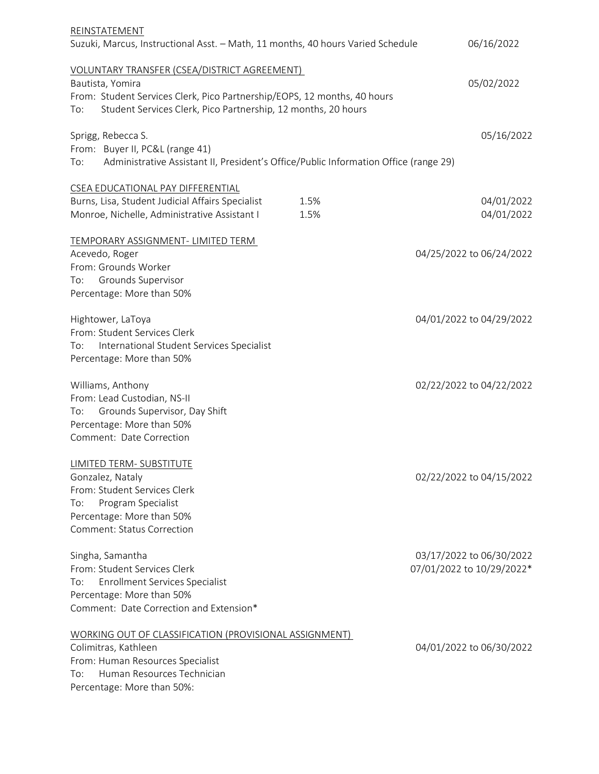| REINSTATEMENT<br>Suzuki, Marcus, Instructional Asst. - Math, 11 months, 40 hours Varied Schedule                                                                                                                     |              | 06/16/2022                                            |
|----------------------------------------------------------------------------------------------------------------------------------------------------------------------------------------------------------------------|--------------|-------------------------------------------------------|
| VOLUNTARY TRANSFER (CSEA/DISTRICT AGREEMENT)<br>Bautista, Yomira<br>From: Student Services Clerk, Pico Partnership/EOPS, 12 months, 40 hours<br>Student Services Clerk, Pico Partnership, 12 months, 20 hours<br>To: |              | 05/02/2022                                            |
| Sprigg, Rebecca S.<br>From: Buyer II, PC&L (range 41)<br>Administrative Assistant II, President's Office/Public Information Office (range 29)<br>To:                                                                 |              | 05/16/2022                                            |
|                                                                                                                                                                                                                      |              |                                                       |
| CSEA EDUCATIONAL PAY DIFFERENTIAL<br>Burns, Lisa, Student Judicial Affairs Specialist<br>Monroe, Nichelle, Administrative Assistant I                                                                                | 1.5%<br>1.5% | 04/01/2022<br>04/01/2022                              |
| TEMPORARY ASSIGNMENT- LIMITED TERM<br>Acevedo, Roger<br>From: Grounds Worker<br>Grounds Supervisor<br>To:<br>Percentage: More than 50%                                                                               |              | 04/25/2022 to 06/24/2022                              |
| Hightower, LaToya<br>From: Student Services Clerk<br>International Student Services Specialist<br>To:<br>Percentage: More than 50%                                                                                   |              | 04/01/2022 to 04/29/2022                              |
| Williams, Anthony<br>From: Lead Custodian, NS-II<br>Grounds Supervisor, Day Shift<br>To:<br>Percentage: More than 50%<br>Comment: Date Correction                                                                    |              | 02/22/2022 to 04/22/2022                              |
| LIMITED TERM- SUBSTITUTE<br>Gonzalez, Nataly<br>From: Student Services Clerk<br>Program Specialist<br>To:<br>Percentage: More than 50%<br><b>Comment: Status Correction</b>                                          |              | 02/22/2022 to 04/15/2022                              |
| Singha, Samantha<br>From: Student Services Clerk<br>Enrollment Services Specialist<br>To:<br>Percentage: More than 50%<br>Comment: Date Correction and Extension*                                                    |              | 03/17/2022 to 06/30/2022<br>07/01/2022 to 10/29/2022* |
| WORKING OUT OF CLASSIFICATION (PROVISIONAL ASSIGNMENT)<br>Colimitras, Kathleen<br>From: Human Resources Specialist<br>Human Resources Technician<br>To:<br>Percentage: More than 50%:                                |              | 04/01/2022 to 06/30/2022                              |
|                                                                                                                                                                                                                      |              |                                                       |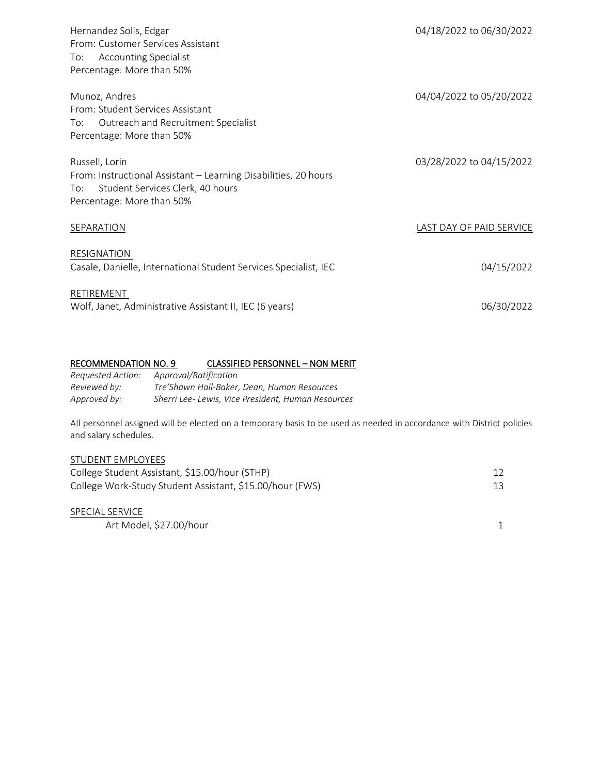| Hernandez Solis, Edgar<br>From: Customer Services Assistant           | 04/18/2022 to 06/30/2022 |
|-----------------------------------------------------------------------|--------------------------|
| <b>Accounting Specialist</b><br>To:                                   |                          |
| Percentage: More than 50%                                             |                          |
| Munoz, Andres<br>From: Student Services Assistant                     | 04/04/2022 to 05/20/2022 |
| Outreach and Recruitment Specialist<br>To:                            |                          |
| Percentage: More than 50%                                             |                          |
|                                                                       |                          |
| Russell, Lorin                                                        | 03/28/2022 to 04/15/2022 |
| From: Instructional Assistant - Learning Disabilities, 20 hours       |                          |
| Student Services Clerk, 40 hours<br>To:                               |                          |
| Percentage: More than 50%                                             |                          |
| SEPARATION                                                            | LAST DAY OF PAID SERVICE |
|                                                                       |                          |
| RESIGNATION                                                           |                          |
| Casale, Danielle, International Student Services Specialist, IEC      | 04/15/2022               |
|                                                                       |                          |
| RETIREMENT<br>Wolf, Janet, Administrative Assistant II, IEC (6 years) | 06/30/2022               |
|                                                                       |                          |

# RECOMMENDATION NO. 9 CLASSIFIED PERSONNEL - NON MERIT

| Requested Action: | Approval/Ratification                             |
|-------------------|---------------------------------------------------|
| Reviewed by:      | Tre'Shawn Hall-Baker, Dean, Human Resources       |
| Approved by:      | Sherri Lee-Lewis, Vice President, Human Resources |

All personnel assigned will be elected on a temporary basis to be used as needed in accordance with District policies and salary schedules.

#### STUDENT EMPLOYEES

| College Student Assistant, \$15.00/hour (STHP)           |  |
|----------------------------------------------------------|--|
| College Work-Study Student Assistant, \$15.00/hour (FWS) |  |
|                                                          |  |

| SPECIAL SERVICE         |  |
|-------------------------|--|
| Art Model, \$27.00/hour |  |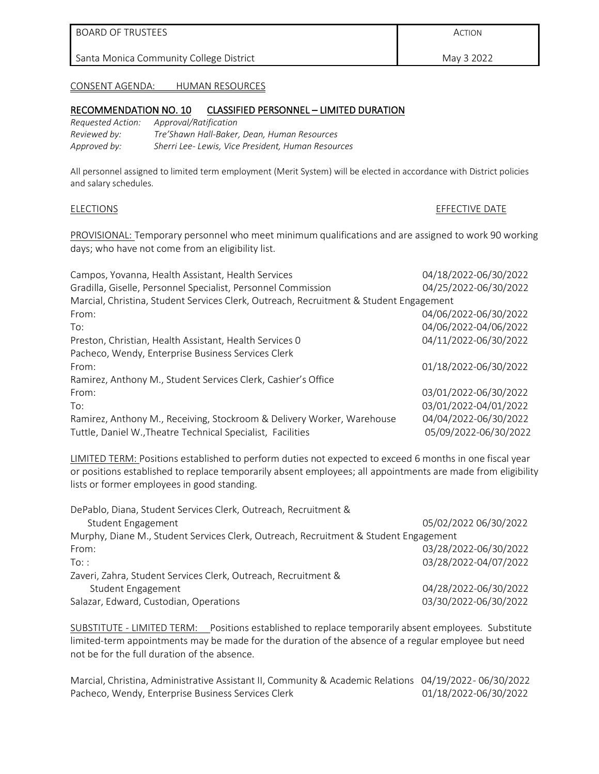ACTION

May 3 2022

#### CONSENT AGENDA: HUMAN RESOURCES

#### RECOMMENDATION NO. 10 CLASSIFIED PERSONNEL – LIMITED DURATION

| Requested Action: | Approval/Ratification                             |
|-------------------|---------------------------------------------------|
| Reviewed by:      | Tre'Shawn Hall-Baker, Dean, Human Resources       |
| Approved by:      | Sherri Lee-Lewis, Vice President, Human Resources |

All personnel assigned to limited term employment (Merit System) will be elected in accordance with District policies and salary schedules.

#### ELECTIONS ET ENTRE DATE

PROVISIONAL: Temporary personnel who meet minimum qualifications and are assigned to work 90 working days; who have not come from an eligibility list.

| Campos, Yovanna, Health Assistant, Health Services                                     | 04/18/2022-06/30/2022 |
|----------------------------------------------------------------------------------------|-----------------------|
| Gradilla, Giselle, Personnel Specialist, Personnel Commission                          | 04/25/2022-06/30/2022 |
| Marcial, Christina, Student Services Clerk, Outreach, Recruitment & Student Engagement |                       |
| From:                                                                                  | 04/06/2022-06/30/2022 |
| To:                                                                                    | 04/06/2022-04/06/2022 |
| Preston, Christian, Health Assistant, Health Services 0                                | 04/11/2022-06/30/2022 |
| Pacheco, Wendy, Enterprise Business Services Clerk                                     |                       |
| From:                                                                                  | 01/18/2022-06/30/2022 |
| Ramirez, Anthony M., Student Services Clerk, Cashier's Office                          |                       |
| From:                                                                                  | 03/01/2022-06/30/2022 |
| To:                                                                                    | 03/01/2022-04/01/2022 |
| Ramirez, Anthony M., Receiving, Stockroom & Delivery Worker, Warehouse                 | 04/04/2022-06/30/2022 |
| Tuttle, Daniel W., Theatre Technical Specialist, Facilities                            | 05/09/2022-06/30/2022 |

LIMITED TERM: Positions established to perform duties not expected to exceed 6 months in one fiscal year or positions established to replace temporarily absent employees; all appointments are made from eligibility lists or former employees in good standing.

| DePablo, Diana, Student Services Clerk, Outreach, Recruitment &                      |                       |  |  |  |
|--------------------------------------------------------------------------------------|-----------------------|--|--|--|
| Student Engagement                                                                   | 05/02/2022 06/30/2022 |  |  |  |
| Murphy, Diane M., Student Services Clerk, Outreach, Recruitment & Student Engagement |                       |  |  |  |
| From:                                                                                | 03/28/2022-06/30/2022 |  |  |  |
| $To:$ :                                                                              | 03/28/2022-04/07/2022 |  |  |  |
| Zaveri, Zahra, Student Services Clerk, Outreach, Recruitment &                       |                       |  |  |  |
| <b>Student Engagement</b>                                                            | 04/28/2022-06/30/2022 |  |  |  |
| Salazar, Edward, Custodian, Operations                                               | 03/30/2022-06/30/2022 |  |  |  |

SUBSTITUTE - LIMITED TERM: Positions established to replace temporarily absent employees. Substitute limited-term appointments may be made for the duration of the absence of a regular employee but need not be for the full duration of the absence.

Marcial, Christina, Administrative Assistant II, Community & Academic Relations 04/19/2022- 06/30/2022 Pacheco, Wendy, Enterprise Business Services Clerk 01/18/2022-06/30/2022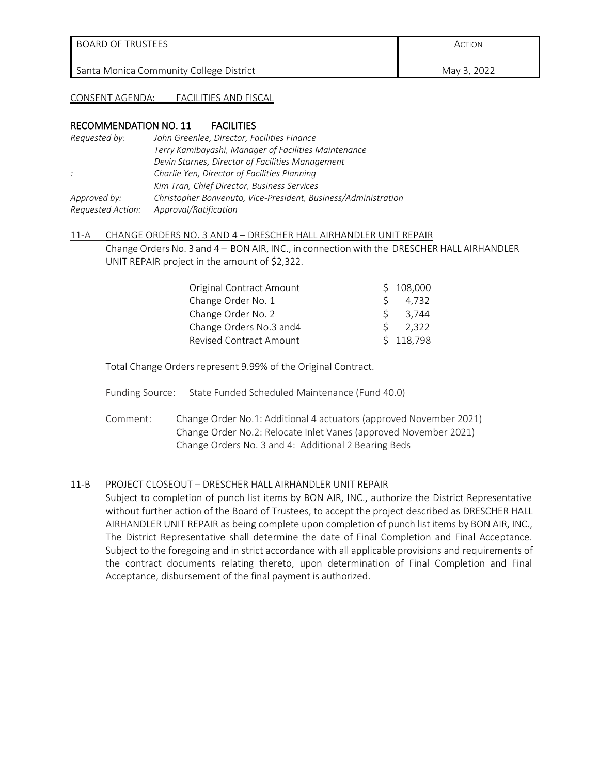BOARD OF TRUSTEES

Santa Monica Community College District

ACTION

May 3, 2022

CONSENT AGENDA: FACILITIES AND FISCAL

#### RECOMMENDATION NO. 11 FACILITIES

| Requested by:     | John Greenlee, Director, Facilities Finance                    |
|-------------------|----------------------------------------------------------------|
|                   | Terry Kamibayashi, Manager of Facilities Maintenance           |
|                   | Devin Starnes, Director of Facilities Management               |
| $\therefore$      | Charlie Yen, Director of Facilities Planning                   |
|                   | Kim Tran, Chief Director, Business Services                    |
| Approved by:      | Christopher Bonvenuto, Vice-President, Business/Administration |
| Requested Action: | Approval/Ratification                                          |

#### 11-A CHANGE ORDERS NO. 3 AND 4 – DRESCHER HALL AIRHANDLER UNIT REPAIR

Change Orders No. 3 and 4 – BON AIR, INC., in connection with the DRESCHER HALL AIRHANDLER UNIT REPAIR project in the amount of \$2,322.

| Original Contract Amount       |   | \$108,000 |
|--------------------------------|---|-----------|
| Change Order No. 1             |   | 4,732     |
| Change Order No. 2             | ς | 3,744     |
| Change Orders No.3 and 4       |   | 2,322     |
| <b>Revised Contract Amount</b> |   | \$118,798 |

Total Change Orders represent 9.99% of the Original Contract.

- Funding Source: State Funded Scheduled Maintenance (Fund 40.0)
- Comment: Change Order No.1: Additional 4 actuators (approved November 2021) Change Order No.2: Relocate Inlet Vanes (approved November 2021) Change Orders No. 3 and 4: Additional 2 Bearing Beds

#### 11-B PROJECT CLOSEOUT – DRESCHER HALL AIRHANDLER UNIT REPAIR

Subject to completion of punch list items by BON AIR, INC., authorize the District Representative without further action of the Board of Trustees, to accept the project described as DRESCHER HALL AIRHANDLER UNIT REPAIR as being complete upon completion of punch list items by BON AIR, INC., The District Representative shall determine the date of Final Completion and Final Acceptance. Subject to the foregoing and in strict accordance with all applicable provisions and requirements of the contract documents relating thereto, upon determination of Final Completion and Final Acceptance, disbursement of the final payment is authorized.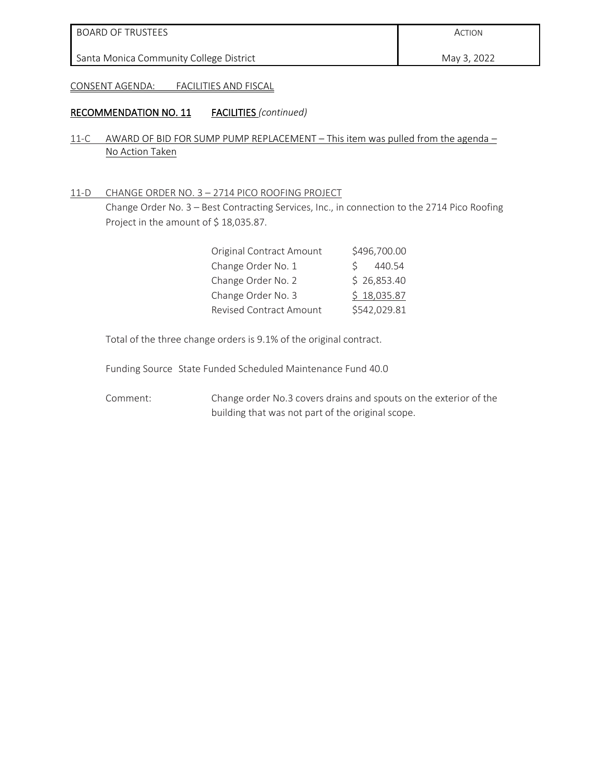May 3, 2022

CONSENT AGENDA: FACILITIES AND FISCAL

#### RECOMMENDATION NO. 11 FACILITIES *(continued)*

- 11-C AWARD OF BID FOR SUMP PUMP REPLACEMENT This item was pulled from the agenda No Action Taken
- 11-D CHANGE ORDER NO. 3 2714 PICO ROOFING PROJECT

Change Order No. 3 – Best Contracting Services, Inc., in connection to the 2714 Pico Roofing Project in the amount of \$18,035.87.

| <b>Original Contract Amount</b> | \$496,700.00          |
|---------------------------------|-----------------------|
| Change Order No. 1              | 440.54<br>$\varsigma$ |
| Change Order No. 2              | \$26,853.40           |
| Change Order No. 3              | \$18,035.87           |
| <b>Revised Contract Amount</b>  | \$542,029.81          |

Total of the three change orders is 9.1% of the original contract.

Funding Source State Funded Scheduled Maintenance Fund 40.0

Comment: Change order No.3 covers drains and spouts on the exterior of the building that was not part of the original scope.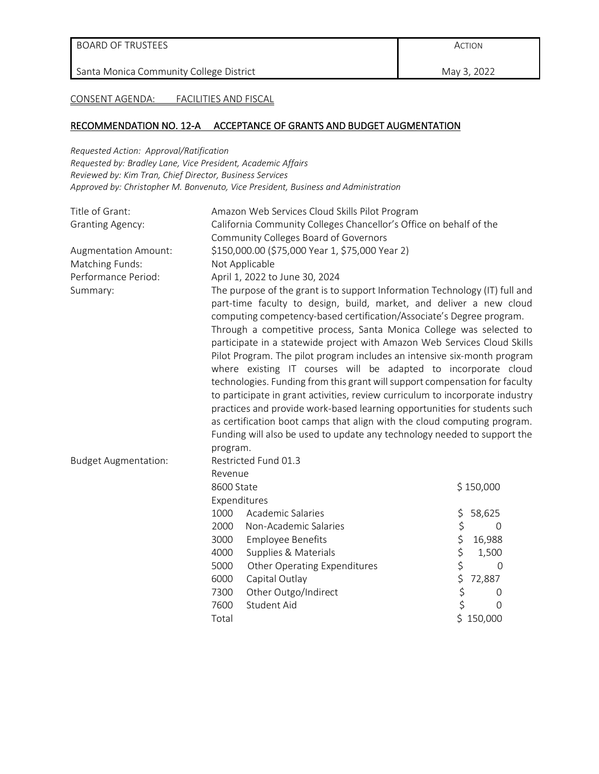May 3, 2022

CONSENT AGENDA: FACILITIES AND FISCAL

#### RECOMMENDATION NO. 12-A ACCEPTANCE OF GRANTS AND BUDGET AUGMENTATION

*Requested Action: Approval/Ratification*

*Requested by: Bradley Lane, Vice President, Academic Affairs Reviewed by: Kim Tran, Chief Director, Business Services Approved by: Christopher M. Bonvenuto, Vice President, Business and Administration*

| Title of Grant:             | Amazon Web Services Cloud Skills Pilot Program                                                                                                                                                                                                                                                                                                                                                                                                                                                                                                                                                                                                                                                                                                                                                                                                                                                                                               |                              |    |                |
|-----------------------------|----------------------------------------------------------------------------------------------------------------------------------------------------------------------------------------------------------------------------------------------------------------------------------------------------------------------------------------------------------------------------------------------------------------------------------------------------------------------------------------------------------------------------------------------------------------------------------------------------------------------------------------------------------------------------------------------------------------------------------------------------------------------------------------------------------------------------------------------------------------------------------------------------------------------------------------------|------------------------------|----|----------------|
| <b>Granting Agency:</b>     | California Community Colleges Chancellor's Office on behalf of the                                                                                                                                                                                                                                                                                                                                                                                                                                                                                                                                                                                                                                                                                                                                                                                                                                                                           |                              |    |                |
|                             | Community Colleges Board of Governors                                                                                                                                                                                                                                                                                                                                                                                                                                                                                                                                                                                                                                                                                                                                                                                                                                                                                                        |                              |    |                |
| Augmentation Amount:        | \$150,000.00 (\$75,000 Year 1, \$75,000 Year 2)                                                                                                                                                                                                                                                                                                                                                                                                                                                                                                                                                                                                                                                                                                                                                                                                                                                                                              |                              |    |                |
| Matching Funds:             | Not Applicable                                                                                                                                                                                                                                                                                                                                                                                                                                                                                                                                                                                                                                                                                                                                                                                                                                                                                                                               |                              |    |                |
| Performance Period:         | April 1, 2022 to June 30, 2024                                                                                                                                                                                                                                                                                                                                                                                                                                                                                                                                                                                                                                                                                                                                                                                                                                                                                                               |                              |    |                |
| Summary:                    | The purpose of the grant is to support Information Technology (IT) full and<br>part-time faculty to design, build, market, and deliver a new cloud<br>computing competency-based certification/Associate's Degree program.<br>Through a competitive process, Santa Monica College was selected to<br>participate in a statewide project with Amazon Web Services Cloud Skills<br>Pilot Program. The pilot program includes an intensive six-month program<br>where existing IT courses will be adapted to incorporate cloud<br>technologies. Funding from this grant will support compensation for faculty<br>to participate in grant activities, review curriculum to incorporate industry<br>practices and provide work-based learning opportunities for students such<br>as certification boot camps that align with the cloud computing program.<br>Funding will also be used to update any technology needed to support the<br>program. |                              |    |                |
| <b>Budget Augmentation:</b> |                                                                                                                                                                                                                                                                                                                                                                                                                                                                                                                                                                                                                                                                                                                                                                                                                                                                                                                                              | Restricted Fund 01.3         |    |                |
|                             | Revenue                                                                                                                                                                                                                                                                                                                                                                                                                                                                                                                                                                                                                                                                                                                                                                                                                                                                                                                                      |                              |    |                |
|                             | 8600 State                                                                                                                                                                                                                                                                                                                                                                                                                                                                                                                                                                                                                                                                                                                                                                                                                                                                                                                                   |                              |    | \$150,000      |
|                             |                                                                                                                                                                                                                                                                                                                                                                                                                                                                                                                                                                                                                                                                                                                                                                                                                                                                                                                                              | Expenditures                 |    |                |
|                             | 1000                                                                                                                                                                                                                                                                                                                                                                                                                                                                                                                                                                                                                                                                                                                                                                                                                                                                                                                                         | Academic Salaries            | \$ | 58,625         |
|                             | 2000                                                                                                                                                                                                                                                                                                                                                                                                                                                                                                                                                                                                                                                                                                                                                                                                                                                                                                                                         | Non-Academic Salaries        | \$ | $\Omega$       |
|                             | 3000                                                                                                                                                                                                                                                                                                                                                                                                                                                                                                                                                                                                                                                                                                                                                                                                                                                                                                                                         | <b>Employee Benefits</b>     | \$ | 16,988         |
|                             | 4000                                                                                                                                                                                                                                                                                                                                                                                                                                                                                                                                                                                                                                                                                                                                                                                                                                                                                                                                         | Supplies & Materials         | \$ | 1,500          |
|                             | 5000                                                                                                                                                                                                                                                                                                                                                                                                                                                                                                                                                                                                                                                                                                                                                                                                                                                                                                                                         | Other Operating Expenditures | \$ | 0              |
|                             | 6000                                                                                                                                                                                                                                                                                                                                                                                                                                                                                                                                                                                                                                                                                                                                                                                                                                                                                                                                         | Capital Outlay               | \$ | 72,887         |
|                             | 7300                                                                                                                                                                                                                                                                                                                                                                                                                                                                                                                                                                                                                                                                                                                                                                                                                                                                                                                                         | Other Outgo/Indirect         | \$ | 0              |
|                             | 7600                                                                                                                                                                                                                                                                                                                                                                                                                                                                                                                                                                                                                                                                                                                                                                                                                                                                                                                                         | Student Aid                  | \$ | $\overline{0}$ |
|                             | Total                                                                                                                                                                                                                                                                                                                                                                                                                                                                                                                                                                                                                                                                                                                                                                                                                                                                                                                                        |                              |    | \$150,000      |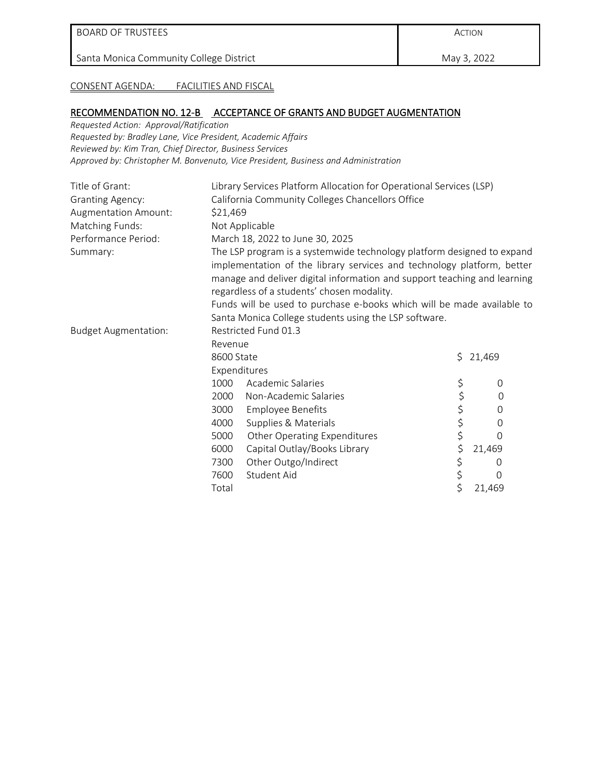May 3, 2022

CONSENT AGENDA: FACILITIES AND FISCAL

#### RECOMMENDATION NO. 12-B ACCEPTANCE OF GRANTS AND BUDGET AUGMENTATION

*Requested Action: Approval/Ratification Requested by: Bradley Lane, Vice President, Academic Affairs Reviewed by: Kim Tran, Chief Director, Business Services Approved by: Christopher M. Bonvenuto, Vice President, Business and Administration*

| Title of Grant:             | Library Services Platform Allocation for Operational Services (LSP) |                                                                          |    |                  |
|-----------------------------|---------------------------------------------------------------------|--------------------------------------------------------------------------|----|------------------|
| <b>Granting Agency:</b>     | California Community Colleges Chancellors Office                    |                                                                          |    |                  |
| Augmentation Amount:        | \$21,469                                                            |                                                                          |    |                  |
| <b>Matching Funds:</b>      | Not Applicable                                                      |                                                                          |    |                  |
| Performance Period:         |                                                                     | March 18, 2022 to June 30, 2025                                          |    |                  |
| Summary:                    |                                                                     | The LSP program is a systemwide technology platform designed to expand   |    |                  |
|                             |                                                                     | implementation of the library services and technology platform, better   |    |                  |
|                             |                                                                     | manage and deliver digital information and support teaching and learning |    |                  |
|                             |                                                                     | regardless of a students' chosen modality.                               |    |                  |
|                             |                                                                     | Funds will be used to purchase e-books which will be made available to   |    |                  |
|                             |                                                                     | Santa Monica College students using the LSP software.                    |    |                  |
| <b>Budget Augmentation:</b> |                                                                     | Restricted Fund 01.3                                                     |    |                  |
| Revenue                     |                                                                     |                                                                          |    |                  |
|                             | 8600 State                                                          |                                                                          | \$ | 21,469           |
|                             | Expenditures                                                        |                                                                          |    |                  |
|                             | 1000                                                                | Academic Salaries                                                        | \$ | $\mathbf 0$      |
|                             | 2000                                                                | Non-Academic Salaries                                                    | \$ | $\mathbf 0$      |
|                             | 3000                                                                | <b>Employee Benefits</b>                                                 | \$ | 0                |
|                             | 4000                                                                | Supplies & Materials                                                     | \$ | $\Omega$         |
|                             | 5000                                                                | <b>Other Operating Expenditures</b>                                      | \$ | O                |
|                             | 6000                                                                | Capital Outlay/Books Library                                             | \$ | 21,469           |
|                             | 7300                                                                | Other Outgo/Indirect                                                     | \$ | $\left( \right)$ |
|                             | 7600                                                                | Student Aid                                                              | \$ | 0                |
|                             | Total                                                               |                                                                          | \$ | 21,469           |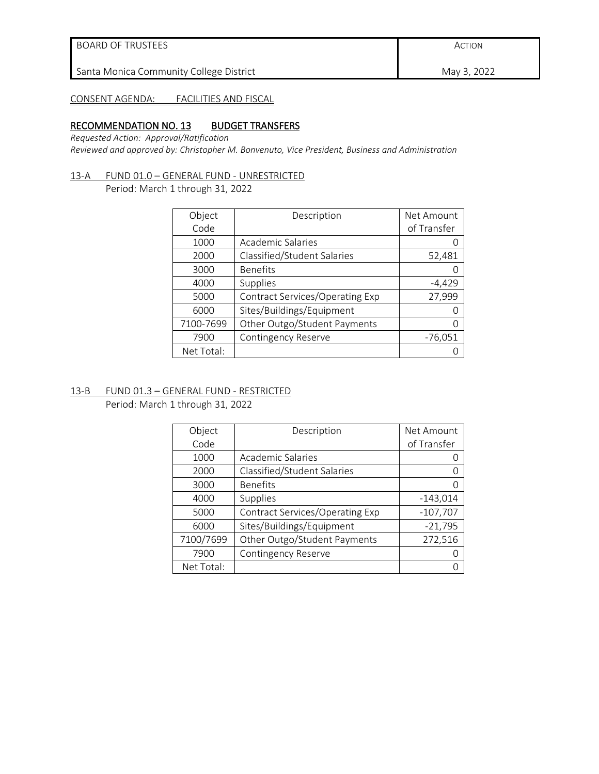| BOARD OF TRUSTEES                       | ACTION      |
|-----------------------------------------|-------------|
| Santa Monica Community College District | May 3, 2022 |
|                                         |             |

# CONSENT AGENDA: FACILITIES AND FISCAL

#### RECOMMENDATION NO. 13 BUDGET TRANSFERS

*Requested Action: Approval/Ratification* 

*Reviewed and approved by: Christopher M. Bonvenuto, Vice President, Business and Administration*

#### 13-A FUND 01.0 – GENERAL FUND - UNRESTRICTED

Period: March 1 through 31, 2022

| Object     | Description                     | Net Amount  |
|------------|---------------------------------|-------------|
| Code       |                                 | of Transfer |
| 1000       | Academic Salaries               |             |
| 2000       | Classified/Student Salaries     | 52,481      |
| 3000       | <b>Benefits</b>                 |             |
| 4000       | Supplies                        | $-4,429$    |
| 5000       | Contract Services/Operating Exp | 27,999      |
| 6000       | Sites/Buildings/Equipment       |             |
| 7100-7699  | Other Outgo/Student Payments    | Ω           |
| 7900       | Contingency Reserve             | $-76,051$   |
| Net Total: |                                 |             |

# 13-B FUND 01.3 – GENERAL FUND - RESTRICTED

Period: March 1 through 31, 2022

| Object     | Description                     | Net Amount  |
|------------|---------------------------------|-------------|
| Code       |                                 | of Transfer |
| 1000       | Academic Salaries               |             |
| 2000       | Classified/Student Salaries     |             |
| 3000       | <b>Benefits</b>                 |             |
| 4000       | Supplies                        | $-143,014$  |
| 5000       | Contract Services/Operating Exp | $-107,707$  |
| 6000       | Sites/Buildings/Equipment       | $-21,795$   |
| 7100/7699  | Other Outgo/Student Payments    | 272,516     |
| 7900       | <b>Contingency Reserve</b>      |             |
| Net Total: |                                 |             |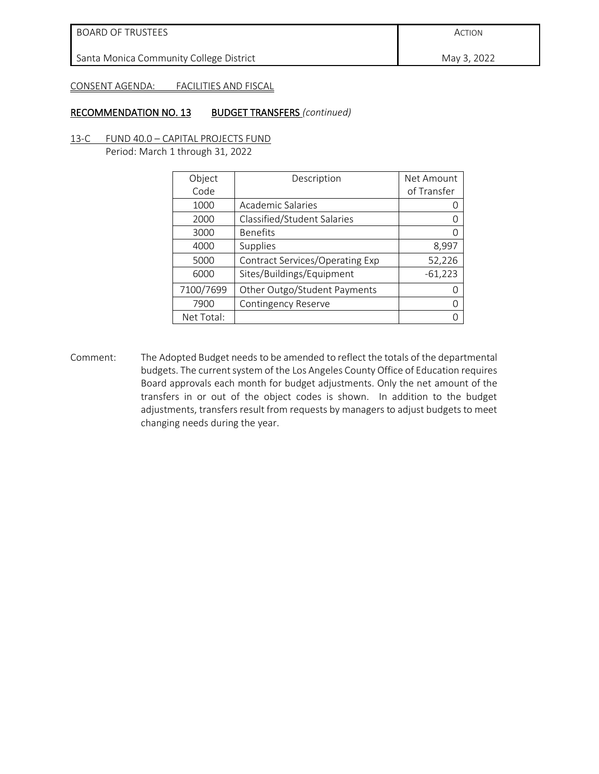May 3, 2022

#### CONSENT AGENDA: FACILITIES AND FISCAL

#### RECOMMENDATION NO. 13 BUDGET TRANSFERS *(continued)*

13-C FUND 40.0 – CAPITAL PROJECTS FUND Period: March 1 through 31, 2022

| Object<br>Code | Description                     | Net Amount<br>of Transfer |
|----------------|---------------------------------|---------------------------|
| 1000           | Academic Salaries               |                           |
| 2000           | Classified/Student Salaries     |                           |
| 3000           | <b>Benefits</b>                 |                           |
| 4000           | Supplies                        | 8,997                     |
| 5000           | Contract Services/Operating Exp | 52,226                    |
| 6000           | Sites/Buildings/Equipment       | $-61,223$                 |
| 7100/7699      | Other Outgo/Student Payments    |                           |
| 7900           | Contingency Reserve             |                           |
| Net Total:     |                                 |                           |

Comment: The Adopted Budget needs to be amended to reflect the totals of the departmental budgets. The current system of the Los Angeles County Office of Education requires Board approvals each month for budget adjustments. Only the net amount of the transfers in or out of the object codes is shown. In addition to the budget adjustments, transfers result from requests by managers to adjust budgets to meet changing needs during the year.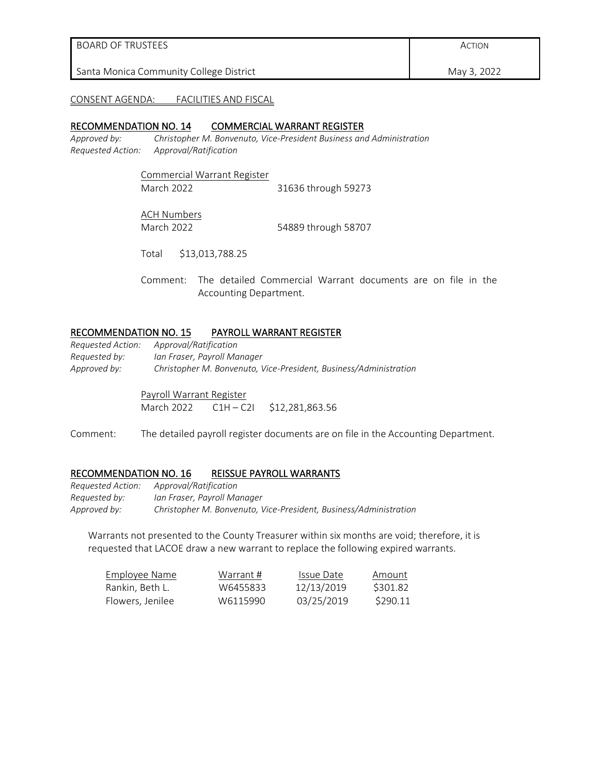| BOARD OF TRUSTEES                       | ACTION      |
|-----------------------------------------|-------------|
| Santa Monica Community College District | May 3, 2022 |

#### CONSENT AGENDA: FACILITIES AND FISCAL

#### RECOMMENDATION NO. 14 COMMERCIAL WARRANT REGISTER

*Approved by: Christopher M. Bonvenuto, Vice-President Business and Administration Requested Action: Approval/Ratification*

> Commercial Warrant Register March 2022 31636 through 59273

ACH Numbers

March 2022 54889 through 58707

Total \$13,013,788.25

Comment: The detailed Commercial Warrant documents are on file in the Accounting Department.

#### RECOMMENDATION NO. 15 PAYROLL WARRANT REGISTER

| Requested Action: | Approval/Ratification                                             |
|-------------------|-------------------------------------------------------------------|
| Requested by:     | Ian Fraser, Pavroll Manager                                       |
| Approved by:      | Christopher M. Bonvenuto, Vice-President, Business/Administration |

Payroll Warrant Register March 2022 C1H - C2I \$12,281,863.56

Comment: The detailed payroll register documents are on file in the Accounting Department.

#### RECOMMENDATION NO. 16 REISSUE PAYROLL WARRANTS

*Requested Action: Approval/Ratification Requested by: Ian Fraser, Payroll Manager Approved by: Christopher M. Bonvenuto, Vice-President, Business/Administration*

Warrants not presented to the County Treasurer within six months are void; therefore, it is requested that LACOE draw a new warrant to replace the following expired warrants.

| Employee Name    | Warrant # | Issue Date | Amount   |
|------------------|-----------|------------|----------|
| Rankin. Beth L.  | W6455833  | 12/13/2019 | \$301.82 |
| Flowers, Jenilee | W6115990  | 03/25/2019 | \$290.11 |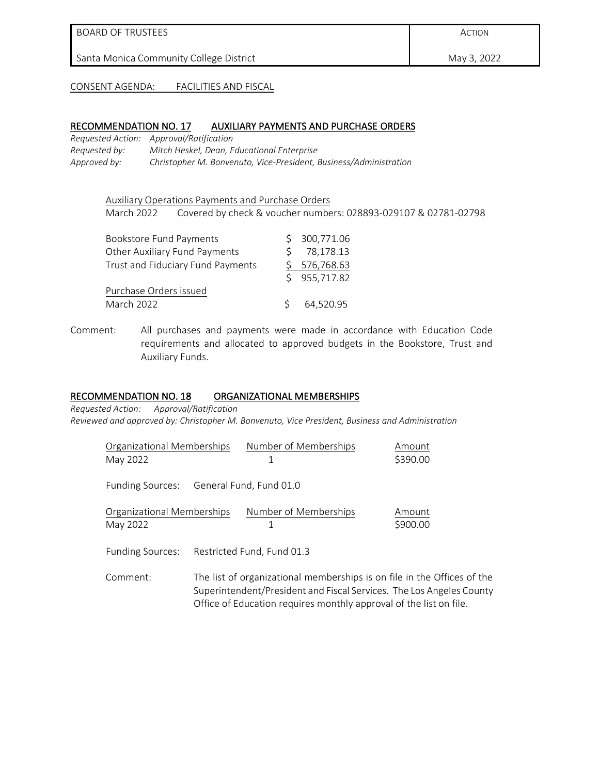#### BOARD OF TRUSTEES

Santa Monica Community College District

CONSENT AGENDA: FACILITIES AND FISCAL

#### RECOMMENDATION NO. 17 AUXILIARY PAYMENTS AND PURCHASE ORDERS

*Requested Action: Approval/Ratification Requested by: Mitch Heskel, Dean, Educational Enterprise Approved by: Christopher M. Bonvenuto, Vice-President, Business/Administration*

Auxiliary Operations Payments and Purchase Orders March 2022 Covered by check & voucher numbers: 028893-029107 & 02781-02798

| <b>Bookstore Fund Payments</b>    |    | \$300,771.06 |
|-----------------------------------|----|--------------|
| Other Auxiliary Fund Payments     |    | \$78,178.13  |
| Trust and Fiduciary Fund Payments |    | \$576,768.63 |
|                                   |    | \$955,717.82 |
| Purchase Orders issued            |    |              |
| March 2022                        | S. | 64,520.95    |

Comment: All purchases and payments were made in accordance with Education Code requirements and allocated to approved budgets in the Bookstore, Trust and Auxiliary Funds.

#### RECOMMENDATION NO. 18 ORGANIZATIONAL MEMBERSHIPS

*Requested Action: Approval/Ratification Reviewed and approved by: Christopher M. Bonvenuto, Vice President, Business and Administration*

| Organizational Memberships               | Number of Memberships                                              | Amount                                                                  |
|------------------------------------------|--------------------------------------------------------------------|-------------------------------------------------------------------------|
| May 2022                                 | 1                                                                  | \$390.00                                                                |
| Funding Sources: General Fund, Fund 01.0 |                                                                    |                                                                         |
| Organizational Memberships               | Number of Memberships                                              | Amount                                                                  |
| May 2022                                 |                                                                    | \$900.00                                                                |
| Funding Sources:                         | Restricted Fund, Fund 01.3                                         |                                                                         |
| Comment:                                 |                                                                    | The list of organizational memberships is on file in the Offices of the |
|                                          |                                                                    | Superintendent/President and Fiscal Services. The Los Angeles County    |
|                                          | Office of Education requires monthly approval of the list on file. |                                                                         |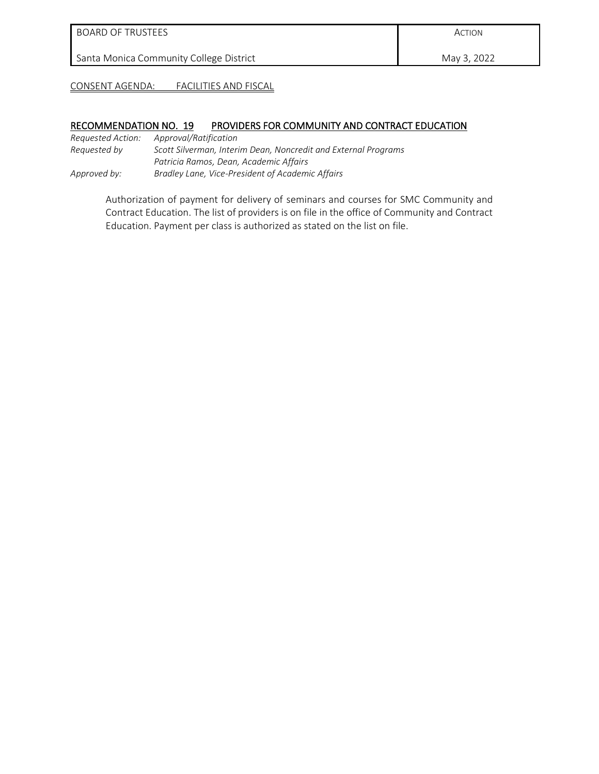# BOARD OF TRUSTEES

Santa Monica Community College District

ACTION

May 3, 2022

CONSENT AGENDA: FACILITIES AND FISCAL

#### RECOMMENDATION NO. 19 PROVIDERS FOR COMMUNITY AND CONTRACT EDUCATION

*Requested Action: Approval/Ratification Requested by Scott Silverman, Interim Dean, Noncredit and External Programs Patricia Ramos, Dean, Academic Affairs Approved by: Bradley Lane, Vice-President of Academic Affairs*

> Authorization of payment for delivery of seminars and courses for SMC Community and Contract Education. The list of providers is on file in the office of Community and Contract Education. Payment per class is authorized as stated on the list on file.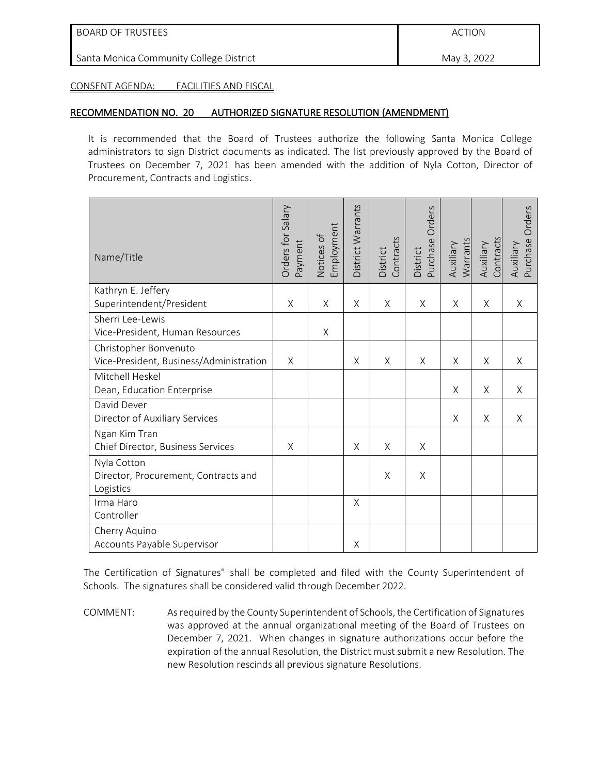ACTION

Santa Monica Community College District

May 3, 2022

CONSENT AGENDA: FACILITIES AND FISCAL

# RECOMMENDATION NO. 20 AUTHORIZED SIGNATURE RESOLUTION (AMENDMENT)

It is recommended that the Board of Trustees authorize the following Santa Monica College administrators to sign District documents as indicated. The list previously approved by the Board of Trustees on December 7, 2021 has been amended with the addition of Nyla Cotton, Director of Procurement, Contracts and Logistics.

| Name/Title                                                       | Orders for Salary<br>Payment | Employment<br>Notices of | District Warrants | Contracts<br>District | Orders<br>Purchase<br>District | Warrants<br>Auxiliary | Contracts<br>Auxiliary | Orders<br>Purchase<br>Auxiliary |
|------------------------------------------------------------------|------------------------------|--------------------------|-------------------|-----------------------|--------------------------------|-----------------------|------------------------|---------------------------------|
| Kathryn E. Jeffery<br>Superintendent/President                   | X                            | X                        | X                 | X                     | $\times$                       | X                     | X                      | Χ                               |
| Sherri Lee-Lewis<br>Vice-President, Human Resources              |                              | X                        |                   |                       |                                |                       |                        |                                 |
| Christopher Bonvenuto<br>Vice-President, Business/Administration | X                            |                          | X                 | Χ                     | $\times$                       | X                     | X                      | X                               |
| Mitchell Heskel<br>Dean, Education Enterprise                    |                              |                          |                   |                       |                                | X                     | X                      | Χ                               |
| David Dever<br>Director of Auxiliary Services                    |                              |                          |                   |                       |                                | X                     | X                      | X                               |
| Ngan Kim Tran<br>Chief Director, Business Services               | X                            |                          | X                 | Χ                     | X                              |                       |                        |                                 |
| Nyla Cotton<br>Director, Procurement, Contracts and<br>Logistics |                              |                          |                   | Χ                     | X                              |                       |                        |                                 |
| Irma Haro<br>Controller                                          |                              |                          | Χ                 |                       |                                |                       |                        |                                 |
| Cherry Aquino<br>Accounts Payable Supervisor                     |                              |                          | Χ                 |                       |                                |                       |                        |                                 |

The Certification of Signatures" shall be completed and filed with the County Superintendent of Schools. The signatures shall be considered valid through December 2022.

COMMENT: As required by the County Superintendent of Schools, the Certification of Signatures was approved at the annual organizational meeting of the Board of Trustees on December 7, 2021. When changes in signature authorizations occur before the expiration of the annual Resolution, the District must submit a new Resolution. The new Resolution rescinds all previous signature Resolutions.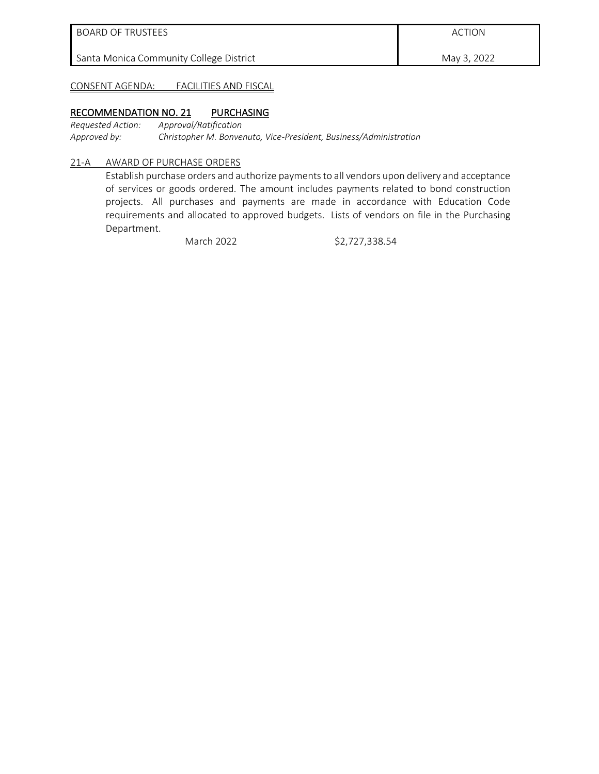May 3, 2022

CONSENT AGENDA: FACILITIES AND FISCAL

#### RECOMMENDATION NO. 21 PURCHASING

*Requested Action: Approval/Ratification Approved by: Christopher M. Bonvenuto, Vice-President, Business/Administration*

#### 21-A AWARD OF PURCHASE ORDERS

Establish purchase orders and authorize payments to all vendors upon delivery and acceptance of services or goods ordered. The amount includes payments related to bond construction projects. All purchases and payments are made in accordance with Education Code requirements and allocated to approved budgets. Lists of vendors on file in the Purchasing Department.

March 2022 \$2,727,338.54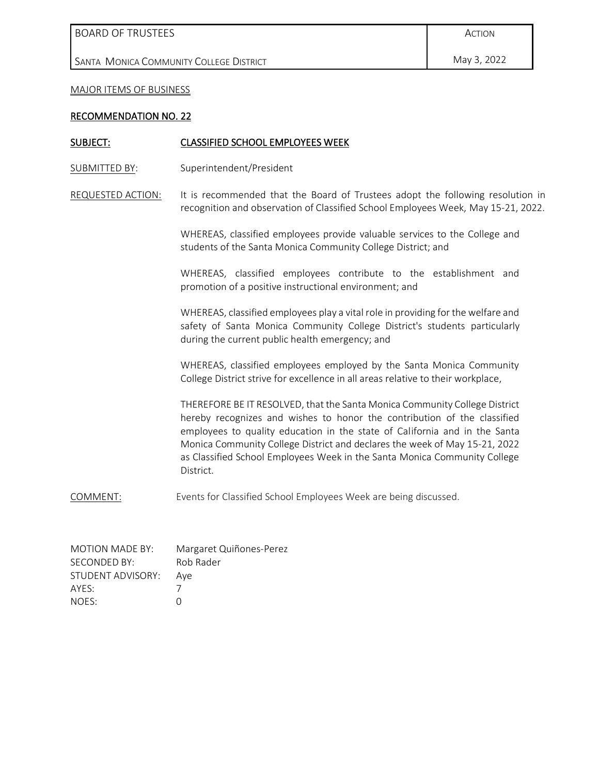BOARD OF TRUSTEES

SANTA MONICA COMMUNITY COLLEGE DISTRICT

MAJOR ITEMS OF BUSINESS

#### RECOMMENDATION NO. 22

#### SUBJECT: CLASSIFIED SCHOOL EMPLOYEES WEEK

SUBMITTED BY: Superintendent/President

REQUESTED ACTION: It is recommended that the Board of Trustees adopt the following resolution in recognition and observation of Classified School Employees Week, May 15-21, 2022.

> WHEREAS, classified employees provide valuable services to the College and students of the Santa Monica Community College District; and

> WHEREAS, classified employees contribute to the establishment and promotion of a positive instructional environment; and

> WHEREAS, classified employees play a vital role in providing for the welfare and safety of Santa Monica Community College District's students particularly during the current public health emergency; and

> WHEREAS, classified employees employed by the Santa Monica Community College District strive for excellence in all areas relative to their workplace,

> THEREFORE BE IT RESOLVED, that the Santa Monica Community College District hereby recognizes and wishes to honor the contribution of the classified employees to quality education in the state of California and in the Santa Monica Community College District and declares the week of May 15-21, 2022 as Classified School Employees Week in the Santa Monica Community College District.

COMMENT: Events for Classified School Employees Week are being discussed.

| MOTION MADE BY:   | Margaret Quiñones-Perez |
|-------------------|-------------------------|
| SECONDED BY:      | Rob Rader               |
| STUDENT ADVISORY: | Ave                     |
| AYFS:             |                         |
| NOES:             | O                       |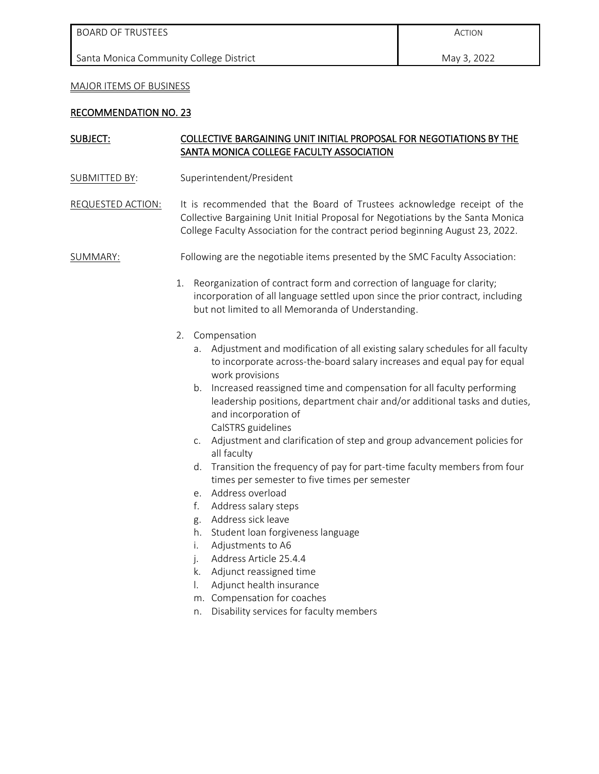#### MAJOR ITEMS OF BUSINESS

#### RECOMMENDATION NO. 23

# SUBJECT: COLLECTIVE BARGAINING UNIT INITIAL PROPOSAL FOR NEGOTIATIONS BY THE SANTA MONICA COLLEGE FACULTY ASSOCIATION

- SUBMITTED BY: Superintendent/President
- REQUESTED ACTION: It is recommended that the Board of Trustees acknowledge receipt of the Collective Bargaining Unit Initial Proposal for Negotiations by the Santa Monica College Faculty Association for the contract period beginning August 23, 2022.

#### SUMMARY: Following are the negotiable items presented by the SMC Faculty Association:

- 1. Reorganization of contract form and correction of language for clarity; incorporation of all language settled upon since the prior contract, including but not limited to all Memoranda of Understanding.
- 2. Compensation
	- a. Adjustment and modification of all existing salary schedules for all faculty to incorporate across-the-board salary increases and equal pay for equal work provisions
	- b. Increased reassigned time and compensation for all faculty performing leadership positions, department chair and/or additional tasks and duties, and incorporation of CalSTRS guidelines
	- c. Adjustment and clarification of step and group advancement policies for all faculty
	- d. Transition the frequency of pay for part-time faculty members from four times per semester to five times per semester
	- e. Address overload
	- f. Address salary steps
	- g. Address sick leave
	- h. Student loan forgiveness language
	- i. Adjustments to A6
	- j. Address Article 25.4.4
	- k. Adjunct reassigned time
	- l. Adjunct health insurance
	- m. Compensation for coaches
	- n. Disability services for faculty members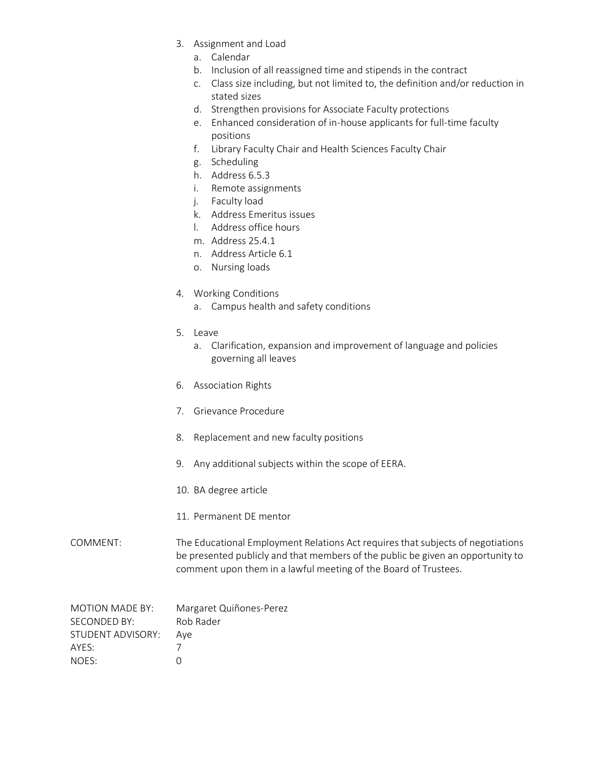- 3. Assignment and Load
	- a. Calendar
	- b. Inclusion of all reassigned time and stipends in the contract
	- c. Class size including, but not limited to, the definition and/or reduction in stated sizes
	- d. Strengthen provisions for Associate Faculty protections
	- e. Enhanced consideration of in-house applicants for full-time faculty positions
	- f. Library Faculty Chair and Health Sciences Faculty Chair
	- g. Scheduling
	- h. Address 6.5.3
	- i. Remote assignments
	- j. Faculty load
	- k. Address Emeritus issues
	- l. Address office hours
	- m. Address 25.4.1
	- n. Address Article 6.1
	- o. Nursing loads
- 4. Working Conditions
	- a. Campus health and safety conditions
- 5. Leave
	- a. Clarification, expansion and improvement of language and policies governing all leaves
- 6. Association Rights
- 7. Grievance Procedure
- 8. Replacement and new faculty positions
- 9. Any additional subjects within the scope of EERA.
- 10. BA degree article
- 11. Permanent DE mentor

# COMMENT: The Educational Employment Relations Act requires that subjects of negotiations be presented publicly and that members of the public be given an opportunity to comment upon them in a lawful meeting of the Board of Trustees.

| MOTION MADE BY:   | Margaret Quiñones-Perez |
|-------------------|-------------------------|
| SECONDED BY:      | Rob Rader               |
| STUDENT ADVISORY: | Ave                     |
| AYFS:             |                         |
| NOES:             |                         |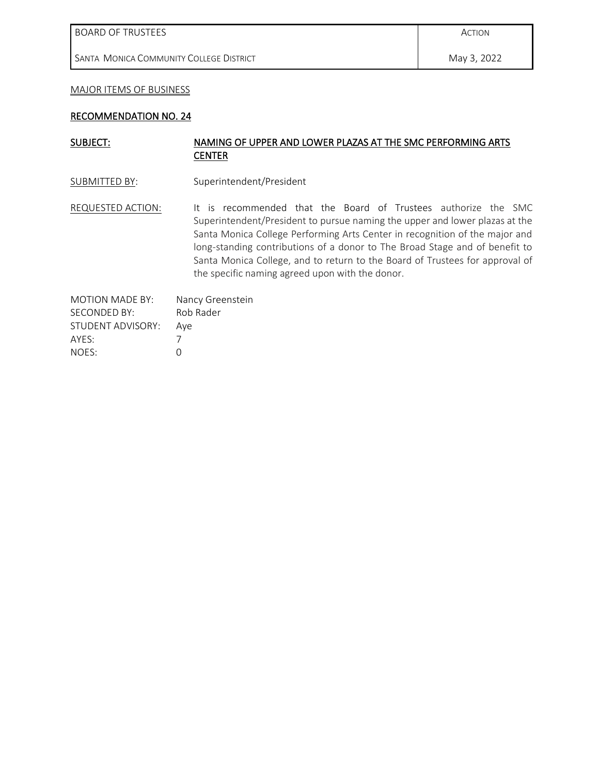BOARD OF TRUSTEES

SANTA MONICA COMMUNITY COLLEGE DISTRICT

#### MAJOR ITEMS OF BUSINESS

#### RECOMMENDATION NO. 24

# SUBJECT: NAMING OF UPPER AND LOWER PLAZAS AT THE SMC PERFORMING ARTS **CENTER**

SUBMITTED BY: Superintendent/President

REQUESTED ACTION: It is recommended that the Board of Trustees authorize the SMC Superintendent/President to pursue naming the upper and lower plazas at the Santa Monica College Performing Arts Center in recognition of the major and long-standing contributions of a donor to The Broad Stage and of benefit to Santa Monica College, and to return to the Board of Trustees for approval of the specific naming agreed upon with the donor.

| <b>MOTION MADE BY:</b> | Nancy Greenstein |
|------------------------|------------------|
| SECONDED BY:           | Rob Rader        |
| STUDENT ADVISORY:      | Ave              |
| AYES:                  |                  |
| NOFS:                  | O                |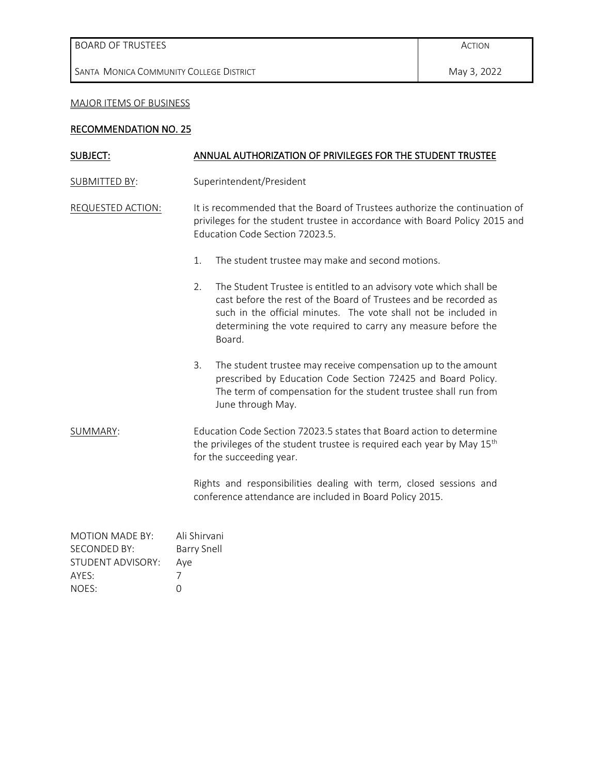SANTA MONICA COMMUNITY COLLEGE DISTRICT

# MAJOR ITEMS OF BUSINESS

# RECOMMENDATION NO. 25

| SUBJECT:             | ANNUAL AUTHORIZATION OF PRIVILEGES FOR THE STUDENT TRUSTEE |                                                                                                                                                                                                                                                                                      |  |
|----------------------|------------------------------------------------------------|--------------------------------------------------------------------------------------------------------------------------------------------------------------------------------------------------------------------------------------------------------------------------------------|--|
| <b>SUBMITTED BY:</b> | Superintendent/President                                   |                                                                                                                                                                                                                                                                                      |  |
| REQUESTED ACTION:    |                                                            | It is recommended that the Board of Trustees authorize the continuation of<br>privileges for the student trustee in accordance with Board Policy 2015 and<br>Education Code Section 72023.5.                                                                                         |  |
|                      | 1.                                                         | The student trustee may make and second motions.                                                                                                                                                                                                                                     |  |
|                      | 2.                                                         | The Student Trustee is entitled to an advisory vote which shall be<br>cast before the rest of the Board of Trustees and be recorded as<br>such in the official minutes. The vote shall not be included in<br>determining the vote required to carry any measure before the<br>Board. |  |
|                      | 3.                                                         | The student trustee may receive compensation up to the amount<br>prescribed by Education Code Section 72425 and Board Policy.<br>The term of compensation for the student trustee shall run from<br>June through May.                                                                |  |
| SUMMARY:             |                                                            | Education Code Section 72023.5 states that Board action to determine<br>the privileges of the student trustee is required each year by May 15 <sup>th</sup><br>for the succeeding year.                                                                                              |  |
|                      |                                                            | Rights and responsibilities dealing with term, closed sessions and<br>conference attendance are included in Board Policy 2015.                                                                                                                                                       |  |

| <b>MOTION MADE BY:</b> | Ali Shirvani |
|------------------------|--------------|
| <b>SECONDED BY:</b>    | Barry Snell  |
| STUDENT ADVISORY:      | Aye          |
| AYES:                  |              |
| NOES:                  | $\cap$       |
|                        |              |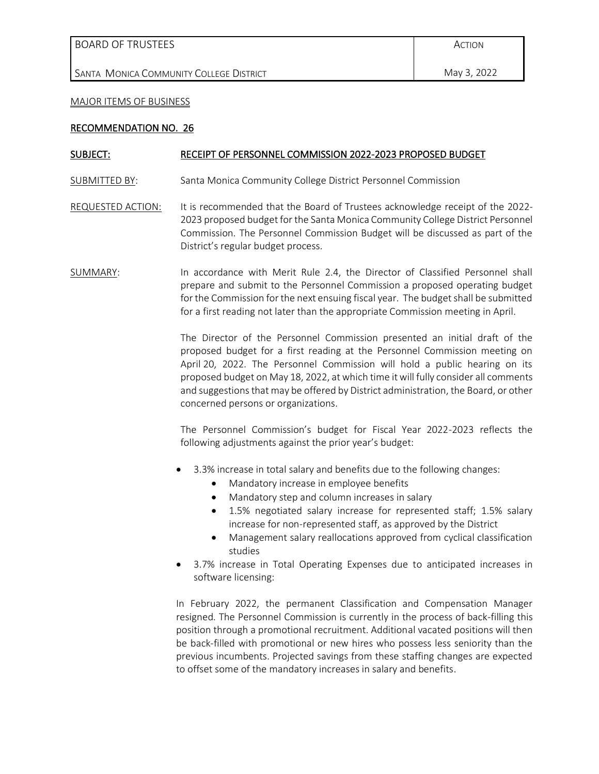|  |  | <b>BOARD OF TRUSTEES</b> |
|--|--|--------------------------|
|--|--|--------------------------|

SANTA MONICA COMMUNITY COLLEGE DISTRICT

#### MAJOR ITEMS OF BUSINESS

#### RECOMMENDATION NO. 26

#### SUBJECT: RECEIPT OF PERSONNEL COMMISSION 2022-2023 PROPOSED BUDGET

SUBMITTED BY: Santa Monica Community College District Personnel Commission

- REQUESTED ACTION: It is recommended that the Board of Trustees acknowledge receipt of the 2022-2023 proposed budget for the Santa Monica Community College District Personnel Commission. The Personnel Commission Budget will be discussed as part of the District's regular budget process.
- SUMMARY: In accordance with Merit Rule 2.4, the Director of Classified Personnel shall prepare and submit to the Personnel Commission a proposed operating budget for the Commission for the next ensuing fiscal year. The budget shall be submitted for a first reading not later than the appropriate Commission meeting in April.

The Director of the Personnel Commission presented an initial draft of the proposed budget for a first reading at the Personnel Commission meeting on April 20, 2022. The Personnel Commission will hold a public hearing on its proposed budget on May 18, 2022, at which time it will fully consider all comments and suggestions that may be offered by District administration, the Board, or other concerned persons or organizations.

The Personnel Commission's budget for Fiscal Year 2022-2023 reflects the following adjustments against the prior year's budget:

- 3.3% increase in total salary and benefits due to the following changes:
	- Mandatory increase in employee benefits
	- Mandatory step and column increases in salary
	- 1.5% negotiated salary increase for represented staff; 1.5% salary increase for non-represented staff, as approved by the District
	- Management salary reallocations approved from cyclical classification studies
- 3.7% increase in Total Operating Expenses due to anticipated increases in software licensing:

In February 2022, the permanent Classification and Compensation Manager resigned. The Personnel Commission is currently in the process of back-filling this position through a promotional recruitment. Additional vacated positions will then be back-filled with promotional or new hires who possess less seniority than the previous incumbents. Projected savings from these staffing changes are expected to offset some of the mandatory increases in salary and benefits.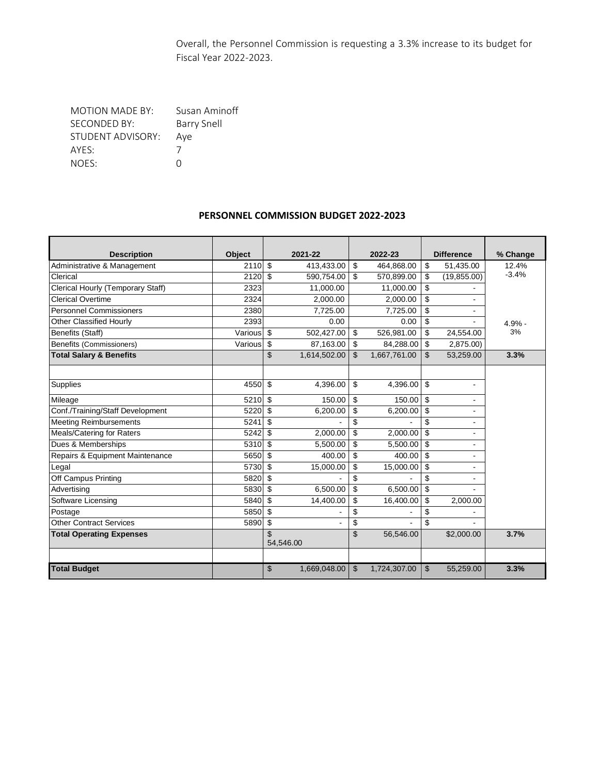Overall, the Personnel Commission is requesting a 3.3% increase to its budget for Fiscal Year 2022-2023.

MOTION MADE BY: Susan Aminoff SECONDED BY: Barry Snell<br>STUDENT ADVISORY: Aye STUDENT ADVISORY: A<sub>y</sub><br>AYES: 7 AYES: 7<br>NOES: 0 NOES:

#### **PERSONNEL COMMISSION BUDGET 2022-2023**

| <b>Description</b>                 | <b>Object</b> | 2021-22            | 2022-23            | <b>Difference</b>    | % Change |
|------------------------------------|---------------|--------------------|--------------------|----------------------|----------|
| Administrative & Management        | 2110          | \$<br>413,433.00   | \$<br>464,868.00   | \$<br>51,435.00      | 12.4%    |
| Clerical                           | 2120          | \$<br>590,754.00   | \$<br>570,899.00   | \$<br>(19, 855.00)   | $-3.4%$  |
| Clerical Hourly (Temporary Staff)  | 2323          | 11,000.00          | 11,000.00          | \$                   |          |
| <b>Clerical Overtime</b>           | 2324          | 2.000.00           | 2.000.00           | \$                   |          |
| <b>Personnel Commissioners</b>     | 2380          | 7.725.00           | 7.725.00           | \$                   |          |
| Other Classified Hourly            | 2393          | 0.00               | 0.00               | \$                   | 4.9% -   |
| Benefits (Staff)                   | Various       | \$<br>502,427.00   | \$<br>526,981.00   | \$<br>24,554.00      | 3%       |
| Benefits (Commissioners)           | Various       | \$<br>87,163.00    | \$<br>84,288.00    | \$<br>2,875.00)      |          |
| <b>Total Salary &amp; Benefits</b> |               | \$<br>1,614,502.00 | \$<br>1,667,761.00 | \$<br>53,259.00      | 3.3%     |
|                                    |               |                    |                    |                      |          |
| Supplies                           | 4550          | \$<br>4,396.00     | \$<br>4,396.00     | \$<br>$\blacksquare$ |          |
| Mileage                            | 5210          | \$<br>150.00       | \$<br>150.00       | \$                   |          |
| Conf./Training/Staff Development   | 5220          | \$<br>6,200.00     | \$<br>6,200.00     | \$                   |          |
| <b>Meeting Reimbursements</b>      | 5241          | \$                 | \$                 | \$                   |          |
| Meals/Catering for Raters          | 5242          | \$<br>2,000.00     | \$<br>2,000.00     | \$                   |          |
| Dues & Memberships                 | 5310          | \$<br>5,500.00     | \$<br>5,500.00     | \$                   |          |
| Repairs & Equipment Maintenance    | 5650          | \$<br>400.00       | \$<br>400.00       | \$                   |          |
| Legal                              | 5730          | \$<br>15,000.00    | \$<br>15,000.00    | \$                   |          |
| Off Campus Printing                | 5820          | \$                 | \$                 | \$                   |          |
| Advertising                        | 5830          | \$<br>6,500.00     | \$<br>6,500.00     | \$                   |          |
| Software Licensing                 | 5840          | \$<br>14,400.00    | \$<br>16,400.00    | \$<br>2,000.00       |          |
| Postage                            | 5850          | \$                 | \$                 | \$                   |          |
| <b>Other Contract Services</b>     | 5890          | \$                 | \$                 | \$                   |          |
| <b>Total Operating Expenses</b>    |               | \$<br>54,546.00    | \$<br>56,546.00    | \$2,000.00           | 3.7%     |
|                                    |               |                    |                    |                      |          |
| <b>Total Budget</b>                |               | \$<br>1,669,048.00 | \$<br>1,724,307.00 | \$<br>55,259.00      | 3.3%     |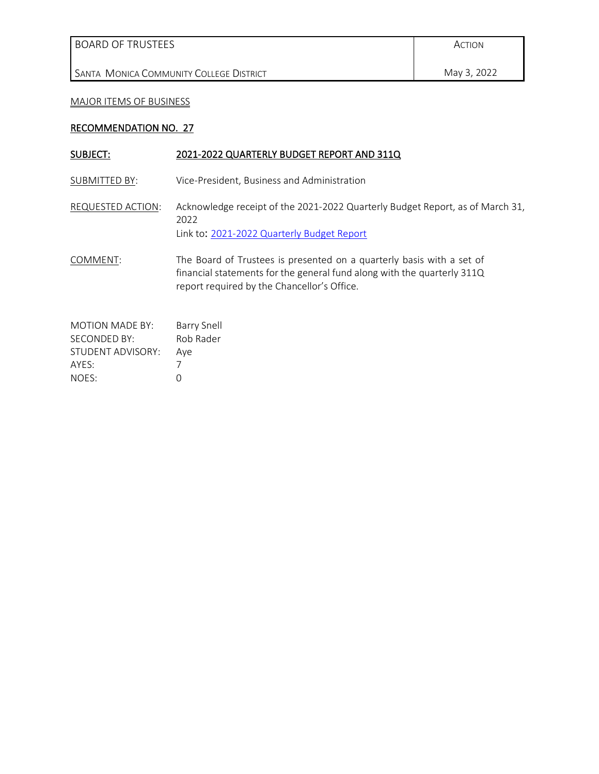SANTA MONICA COMMUNITY COLLEGE DISTRICT

# May 3, 2022

### MAJOR ITEMS OF BUSINESS

### RECOMMENDATION NO. 27

| SUBJECT:                                                                      | 2021-2022 QUARTERLY BUDGET REPORT AND 311Q                                                                                                                                                      |
|-------------------------------------------------------------------------------|-------------------------------------------------------------------------------------------------------------------------------------------------------------------------------------------------|
| SUBMITTED BY:                                                                 | Vice-President, Business and Administration                                                                                                                                                     |
| REQUESTED ACTION:                                                             | Acknowledge receipt of the 2021-2022 Quarterly Budget Report, as of March 31,<br>2022<br>Link to: 2021-2022 Quarterly Budget Report                                                             |
| COMMENT:                                                                      | The Board of Trustees is presented on a quarterly basis with a set of<br>financial statements for the general fund along with the quarterly 311Q<br>report required by the Chancellor's Office. |
| <b>MOTION MADE BY:</b><br>SECONDED BY:<br>STUDENT ADVISORY:<br>AYES:<br>NOES: | <b>Barry Snell</b><br>Rob Rader<br>Aye<br>O                                                                                                                                                     |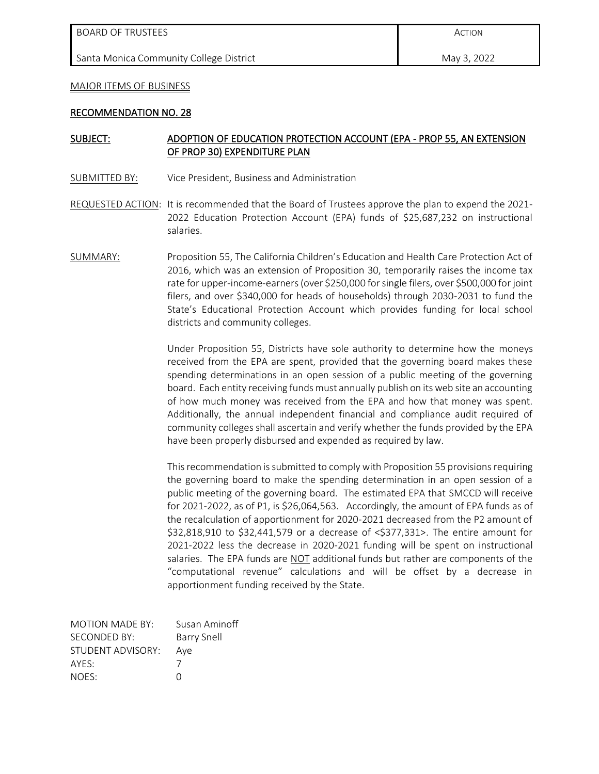#### MAJOR ITEMS OF BUSINESS

#### RECOMMENDATION NO. 28

#### SUBJECT: ADOPTION OF EDUCATION PROTECTION ACCOUNT (EPA - PROP 55, AN EXTENSION OF PROP 30) EXPENDITURE PLAN

- SUBMITTED BY: Vice President, Business and Administration
- REQUESTED ACTION: It is recommended that the Board of Trustees approve the plan to expend the 2021- 2022 Education Protection Account (EPA) funds of \$25,687,232 on instructional salaries.
- SUMMARY: Proposition 55, The California Children's Education and Health Care Protection Act of 2016, which was an extension of Proposition 30, temporarily raises the income tax rate for upper-income-earners (over \$250,000 for single filers, over \$500,000 for joint filers, and over \$340,000 for heads of households) through 2030-2031 to fund the State's Educational Protection Account which provides funding for local school districts and community colleges.

Under Proposition 55, Districts have sole authority to determine how the moneys received from the EPA are spent, provided that the governing board makes these spending determinations in an open session of a public meeting of the governing board. Each entity receiving funds must annually publish on its web site an accounting of how much money was received from the EPA and how that money was spent. Additionally, the annual independent financial and compliance audit required of community colleges shall ascertain and verify whether the funds provided by the EPA have been properly disbursed and expended as required by law.

This recommendation is submitted to comply with Proposition 55 provisions requiring the governing board to make the spending determination in an open session of a public meeting of the governing board. The estimated EPA that SMCCD will receive for 2021-2022, as of P1, is \$26,064,563. Accordingly, the amount of EPA funds as of the recalculation of apportionment for 2020-2021 decreased from the P2 amount of \$32,818,910 to \$32,441,579 or a decrease of <\$377,331>. The entire amount for 2021-2022 less the decrease in 2020-2021 funding will be spent on instructional salaries. The EPA funds are **NOT** additional funds but rather are components of the "computational revenue" calculations and will be offset by a decrease in apportionment funding received by the State.

| <b>MOTION MADE BY:</b> | Susan Aminoff      |
|------------------------|--------------------|
| SECONDED BY:           | <b>Barry Snell</b> |
| STUDENT ADVISORY:      | Aye                |
| AYFS:                  |                    |
| NOES:                  | O                  |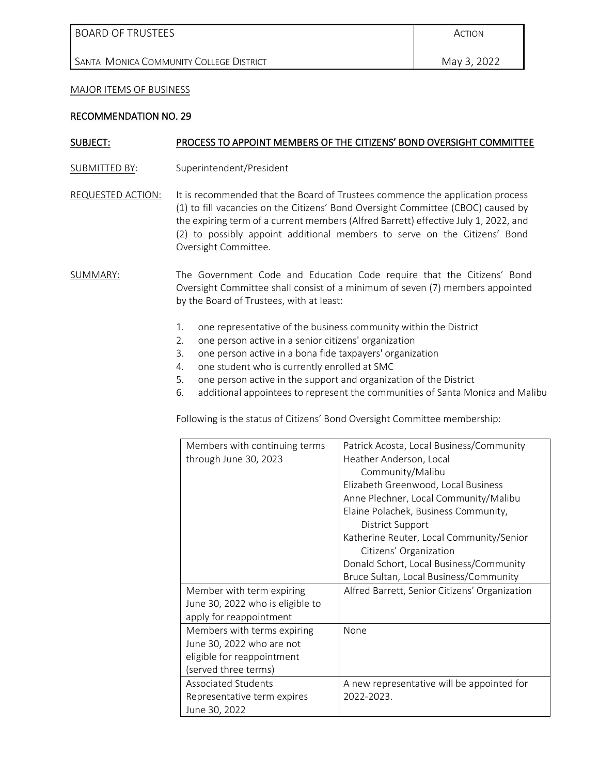BOARD OF TRUSTEES

SANTA MONICA COMMUNITY COLLEGE DISTRICT

#### MAJOR ITEMS OF BUSINESS

#### RECOMMENDATION NO. 29

#### SUBJECT: PROCESS TO APPOINT MEMBERS OF THE CITIZENS' BOND OVERSIGHT COMMITTEE

- SUBMITTED BY: Superintendent/President
- REQUESTED ACTION: It is recommended that the Board of Trustees commence the application process (1) to fill vacancies on the Citizens' Bond Oversight Committee (CBOC) caused by the expiring term of a current members (Alfred Barrett) effective July 1, 2022, and (2) to possibly appoint additional members to serve on the Citizens' Bond Oversight Committee.
- SUMMARY: The Government Code and Education Code require that the Citizens' Bond Oversight Committee shall consist of a minimum of seven (7) members appointed by the Board of Trustees, with at least:
	- 1. one representative of the business community within the District
	- 2. one person active in a senior citizens' organization
	- 3. one person active in a bona fide taxpayers' organization
	- 4. one student who is currently enrolled at SMC
	- 5. one person active in the support and organization of the District
	- 6. additional appointees to represent the communities of Santa Monica and Malibu

Following is the status of Citizens' Bond Oversight Committee membership:

| Members with continuing terms    | Patrick Acosta, Local Business/Community      |
|----------------------------------|-----------------------------------------------|
| through June 30, 2023            | Heather Anderson, Local                       |
|                                  | Community/Malibu                              |
|                                  | Elizabeth Greenwood, Local Business           |
|                                  | Anne Plechner, Local Community/Malibu         |
|                                  | Elaine Polachek, Business Community,          |
|                                  | District Support                              |
|                                  | Katherine Reuter, Local Community/Senior      |
|                                  | Citizens' Organization                        |
|                                  | Donald Schort, Local Business/Community       |
|                                  | Bruce Sultan, Local Business/Community        |
| Member with term expiring        | Alfred Barrett, Senior Citizens' Organization |
| June 30, 2022 who is eligible to |                                               |
| apply for reappointment          |                                               |
| Members with terms expiring      | None                                          |
| June 30, 2022 who are not        |                                               |
| eligible for reappointment       |                                               |
| (served three terms)             |                                               |
| <b>Associated Students</b>       | A new representative will be appointed for    |
| Representative term expires      | 2022-2023.                                    |
| June 30, 2022                    |                                               |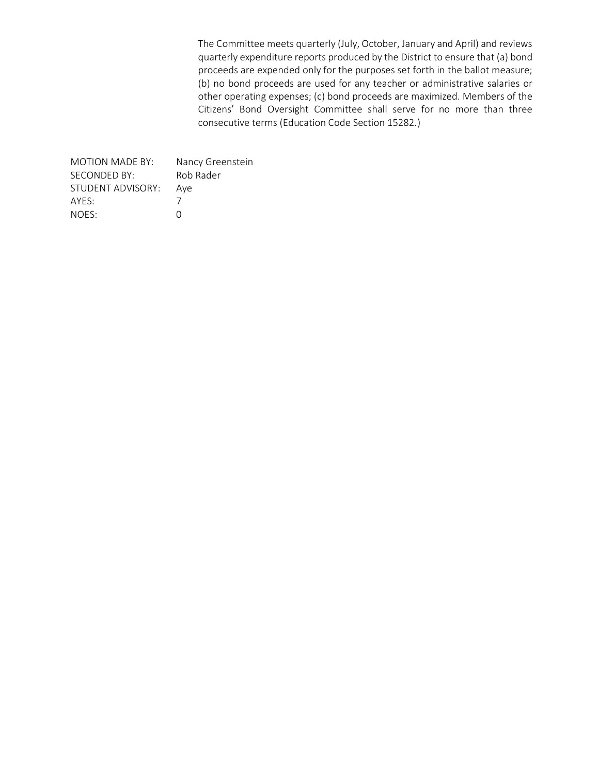The Committee meets quarterly (July, October, January and April) and reviews quarterly expenditure reports produced by the District to ensure that (a) bond proceeds are expended only for the purposes set forth in the ballot measure; (b) no bond proceeds are used for any teacher or administrative salaries or other operating expenses; (c) bond proceeds are maximized. Members of the Citizens' Bond Oversight Committee shall serve for no more than three consecutive terms (Education Code Section 15282.)

| Nancy Greenstein |
|------------------|
| Rob Rader        |
| Ave              |
|                  |
| O                |
|                  |